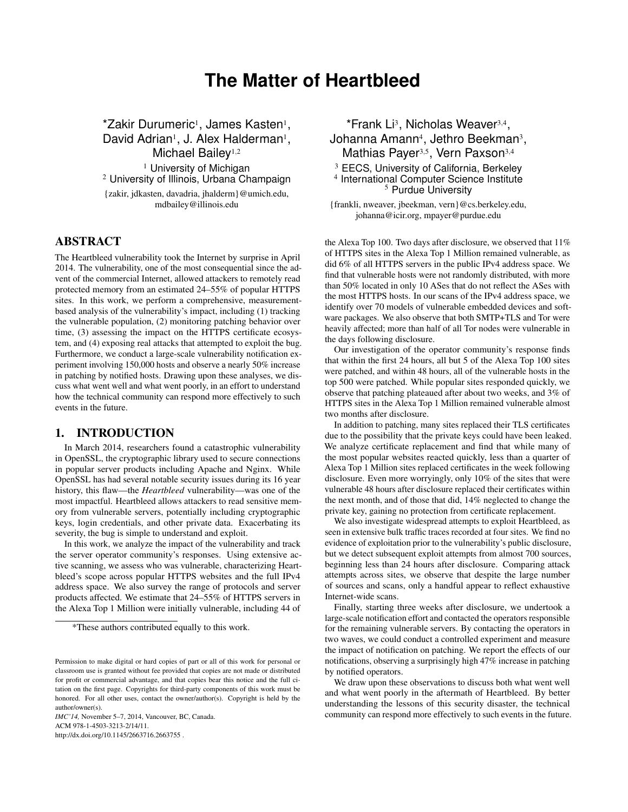# **The Matter of Heartbleed**

<span id="page-0-0"></span>\*Zakir Durumeric<sup>ı</sup>, James Kasten<sup>ı</sup>, David Adrian<sup>1</sup>, J. Alex Halderman<sup>1</sup>, Michael Bailey<sup>1,2</sup> <sup>1</sup> University of Michigan <sup>2</sup> University of Illinois, Urbana Champaign

{zakir, jdkasten, davadria, jhalderm}@umich.edu, mdbailey@illinois.edu

# ABSTRACT

The Heartbleed vulnerability took the Internet by surprise in April 2014. The vulnerability, one of the most consequential since the advent of the commercial Internet, allowed attackers to remotely read protected memory from an estimated 24–55% of popular HTTPS sites. In this work, we perform a comprehensive, measurementbased analysis of the vulnerability's impact, including (1) tracking the vulnerable population, (2) monitoring patching behavior over time, (3) assessing the impact on the HTTPS certificate ecosystem, and (4) exposing real attacks that attempted to exploit the bug. Furthermore, we conduct a large-scale vulnerability notification experiment involving 150,000 hosts and observe a nearly 50% increase in patching by notified hosts. Drawing upon these analyses, we discuss what went well and what went poorly, in an effort to understand how the technical community can respond more effectively to such events in the future.

# 1. INTRODUCTION

In March 2014, researchers found a catastrophic vulnerability in OpenSSL, the cryptographic library used to secure connections in popular server products including Apache and Nginx. While OpenSSL has had several notable security issues during its 16 year history, this flaw—the *Heartbleed* vulnerability—was one of the most impactful. Heartbleed allows attackers to read sensitive memory from vulnerable servers, potentially including cryptographic keys, login credentials, and other private data. Exacerbating its severity, the bug is simple to understand and exploit.

In this work, we analyze the impact of the vulnerability and track the server operator community's responses. Using extensive active scanning, we assess who was vulnerable, characterizing Heartbleed's scope across popular HTTPS websites and the full IPv4 address space. We also survey the range of protocols and server products affected. We estimate that 24–55% of HTTPS servers in the Alexa Top 1 Million were initially vulnerable, including 44 of

*IMC'14,* November 5–7, 2014, Vancouver, BC, Canada. ACM 978-1-4503-3213-2/14/11. http://dx.doi.org/10.1145/2663716.2663755.

\*Frank Li<sup>3</sup> , Nicholas Weaver3,<sup>4</sup> , Johanna Amann<sup>4</sup>, Jethro Beekman<sup>3</sup>, Mathias Payer<sup>3,5</sup>, Vern Paxson<sup>3,4</sup>

<sup>3</sup> EECS, University of California, Berkeley 4 International Computer Science Institute <sup>5</sup> Purdue University

{frankli, nweaver, jbeekman, vern}@cs.berkeley.edu, johanna@icir.org, mpayer@purdue.edu

the Alexa Top 100. Two days after disclosure, we observed that 11% of HTTPS sites in the Alexa Top 1 Million remained vulnerable, as did 6% of all HTTPS servers in the public IPv4 address space. We find that vulnerable hosts were not randomly distributed, with more than 50% located in only 10 ASes that do not reflect the ASes with the most HTTPS hosts. In our scans of the IPv4 address space, we identify over 70 models of vulnerable embedded devices and software packages. We also observe that both SMTP+TLS and Tor were heavily affected; more than half of all Tor nodes were vulnerable in the days following disclosure.

Our investigation of the operator community's response finds that within the first 24 hours, all but 5 of the Alexa Top 100 sites were patched, and within 48 hours, all of the vulnerable hosts in the top 500 were patched. While popular sites responded quickly, we observe that patching plateaued after about two weeks, and 3% of HTTPS sites in the Alexa Top 1 Million remained vulnerable almost two months after disclosure.

In addition to patching, many sites replaced their TLS certificates due to the possibility that the private keys could have been leaked. We analyze certificate replacement and find that while many of the most popular websites reacted quickly, less than a quarter of Alexa Top 1 Million sites replaced certificates in the week following disclosure. Even more worryingly, only 10% of the sites that were vulnerable 48 hours after disclosure replaced their certificates within the next month, and of those that did, 14% neglected to change the private key, gaining no protection from certificate replacement.

We also investigate widespread attempts to exploit Heartbleed, as seen in extensive bulk traffic traces recorded at four sites. We find no evidence of exploitation prior to the vulnerability's public disclosure, but we detect subsequent exploit attempts from almost 700 sources, beginning less than 24 hours after disclosure. Comparing attack attempts across sites, we observe that despite the large number of sources and scans, only a handful appear to reflect exhaustive Internet-wide scans.

Finally, starting three weeks after disclosure, we undertook a large-scale notification effort and contacted the operators responsible for the remaining vulnerable servers. By contacting the operators in two waves, we could conduct a controlled experiment and measure the impact of notification on patching. We report the effects of our notifications, observing a surprisingly high 47% increase in patching by notified operators.

We draw upon these observations to discuss both what went well and what went poorly in the aftermath of Heartbleed. By better understanding the lessons of this security disaster, the technical community can respond more effectively to such events in the future.

<sup>\*</sup>These authors contributed equally to this work.

Permission to make digital or hard copies of part or all of this work for personal or classroom use is granted without fee provided that copies are not made or distributed for profit or commercial advantage, and that copies bear this notice and the full citation on the first page. Copyrights for third-party components of this work must be honored. For all other uses, contact the owner/author(s). Copyright is held by the author/owner(s).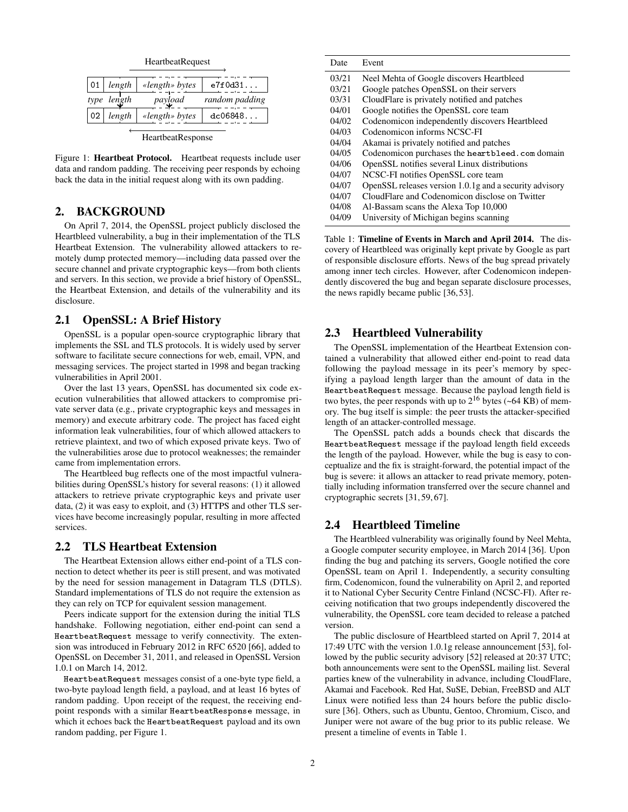<span id="page-1-0"></span>

| HeartbeatRequest  |             |                |                |  |  |  |
|-------------------|-------------|----------------|----------------|--|--|--|
| 01                | length      | «length» bytes | e7f0d31        |  |  |  |
|                   | type length | payload        | random padding |  |  |  |
| 02                | length      | «length» bytes | dc06848        |  |  |  |
| HeartbeatResponse |             |                |                |  |  |  |

Figure 1: Heartbeat Protocol. Heartbeat requests include user data and random padding. The receiving peer responds by echoing back the data in the initial request along with its own padding.

# 2. BACKGROUND

On April 7, 2014, the OpenSSL project publicly disclosed the Heartbleed vulnerability, a bug in their implementation of the TLS Heartbeat Extension. The vulnerability allowed attackers to remotely dump protected memory—including data passed over the secure channel and private cryptographic keys—from both clients and servers. In this section, we provide a brief history of OpenSSL, the Heartbeat Extension, and details of the vulnerability and its disclosure.

# 2.1 OpenSSL: A Brief History

OpenSSL is a popular open-source cryptographic library that implements the SSL and TLS protocols. It is widely used by server software to facilitate secure connections for web, email, VPN, and messaging services. The project started in 1998 and began tracking vulnerabilities in April 2001.

Over the last 13 years, OpenSSL has documented six code execution vulnerabilities that allowed attackers to compromise private server data (e.g., private cryptographic keys and messages in memory) and execute arbitrary code. The project has faced eight information leak vulnerabilities, four of which allowed attackers to retrieve plaintext, and two of which exposed private keys. Two of the vulnerabilities arose due to protocol weaknesses; the remainder came from implementation errors.

The Heartbleed bug reflects one of the most impactful vulnerabilities during OpenSSL's history for several reasons: (1) it allowed attackers to retrieve private cryptographic keys and private user data, (2) it was easy to exploit, and (3) HTTPS and other TLS services have become increasingly popular, resulting in more affected services.

# 2.2 TLS Heartbeat Extension

The Heartbeat Extension allows either end-point of a TLS connection to detect whether its peer is still present, and was motivated by the need for session management in Datagram TLS (DTLS). Standard implementations of TLS do not require the extension as they can rely on TCP for equivalent session management.

Peers indicate support for the extension during the initial TLS handshake. Following negotiation, either end-point can send a HeartbeatRequest message to verify connectivity. The extension was introduced in February 2012 in RFC 6520 [\[66\]](#page-13-0), added to OpenSSL on December 31, 2011, and released in OpenSSL Version 1.0.1 on March 14, 2012.

HeartbeatRequest messages consist of a one-byte type field, a two-byte payload length field, a payload, and at least 16 bytes of random padding. Upon receipt of the request, the receiving endpoint responds with a similar HeartbeatResponse message, in which it echoes back the HeartbeatRequest payload and its own random padding, per Figure [1.](#page-1-0)

<span id="page-1-1"></span>

| Date  | Event                                                   |
|-------|---------------------------------------------------------|
| 03/21 | Neel Mehta of Google discovers Heartbleed               |
| 03/21 | Google patches OpenSSL on their servers                 |
| 03/31 | CloudFlare is privately notified and patches            |
| 04/01 | Google notifies the OpenSSL core team                   |
| 04/02 | Codenomicon independently discovers Heartbleed          |
| 04/03 | Codenomicon informs NCSC-FI                             |
| 04/04 | Akamai is privately notified and patches                |
| 04/05 | Codenomicon purchases the heartbleed.com domain         |
| 04/06 | OpenSSL notifies several Linux distributions            |
| 04/07 | NCSC-FI notifies OpenSSL core team                      |
| 04/07 | OpenSSL releases version 1.0.1g and a security advisory |
| 04/07 | CloudFlare and Codenomicon disclose on Twitter          |
| 04/08 | Al-Bassam scans the Alexa Top 10,000                    |
| 04/09 | University of Michigan begins scanning                  |

Table 1: Timeline of Events in March and April 2014. The discovery of Heartbleed was originally kept private by Google as part of responsible disclosure efforts. News of the bug spread privately among inner tech circles. However, after Codenomicon independently discovered the bug and began separate disclosure processes, the news rapidly became public [\[36,](#page-12-0) [53\]](#page-13-1).

# 2.3 Heartbleed Vulnerability

The OpenSSL implementation of the Heartbeat Extension contained a vulnerability that allowed either end-point to read data following the payload message in its peer's memory by specifying a payload length larger than the amount of data in the HeartbeatRequest message. Because the payload length field is two bytes, the peer responds with up to  $2^{16}$  bytes (~64 KB) of memory. The bug itself is simple: the peer trusts the attacker-specified length of an attacker-controlled message.

The OpenSSL patch adds a bounds check that discards the HeartbeatRequest message if the payload length field exceeds the length of the payload. However, while the bug is easy to conceptualize and the fix is straight-forward, the potential impact of the bug is severe: it allows an attacker to read private memory, potentially including information transferred over the secure channel and cryptographic secrets [\[31,](#page-12-1) [59,](#page-13-2) [67\]](#page-13-3).

# 2.4 Heartbleed Timeline

The Heartbleed vulnerability was originally found by Neel Mehta, a Google computer security employee, in March 2014 [\[36\]](#page-12-0). Upon finding the bug and patching its servers, Google notified the core OpenSSL team on April 1. Independently, a security consulting firm, Codenomicon, found the vulnerability on April 2, and reported it to National Cyber Security Centre Finland (NCSC-FI). After receiving notification that two groups independently discovered the vulnerability, the OpenSSL core team decided to release a patched version.

The public disclosure of Heartbleed started on April 7, 2014 at 17:49 UTC with the version 1.0.1g release announcement [\[53\]](#page-13-1), followed by the public security advisory [\[52\]](#page-13-4) released at 20:37 UTC; both announcements were sent to the OpenSSL mailing list. Several parties knew of the vulnerability in advance, including CloudFlare, Akamai and Facebook. Red Hat, SuSE, Debian, FreeBSD and ALT Linux were notified less than 24 hours before the public disclosure [\[36\]](#page-12-0). Others, such as Ubuntu, Gentoo, Chromium, Cisco, and Juniper were not aware of the bug prior to its public release. We present a timeline of events in Table [1.](#page-1-1)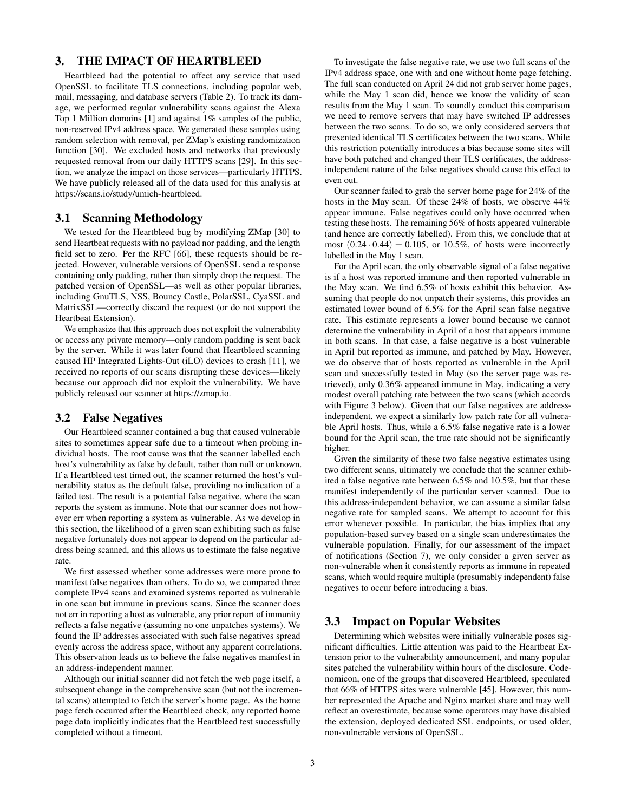# <span id="page-2-0"></span>3. THE IMPACT OF HEARTBLEED

Heartbleed had the potential to affect any service that used OpenSSL to facilitate TLS connections, including popular web, mail, messaging, and database servers (Table [2\)](#page-3-0). To track its damage, we performed regular vulnerability scans against the Alexa Top 1 Million domains [\[1\]](#page-11-0) and against 1% samples of the public, non-reserved IPv4 address space. We generated these samples using random selection with removal, per ZMap's existing randomization function [\[30\]](#page-12-2). We excluded hosts and networks that previously requested removal from our daily HTTPS scans [\[29\]](#page-12-3). In this section, we analyze the impact on those services—particularly HTTPS. We have publicly released all of the data used for this analysis at [https://scans.io/study/umich-heartbleed.](https://scans.io/study/umich-heartbleed)

# 3.1 Scanning Methodology

We tested for the Heartbleed bug by modifying ZMap [\[30\]](#page-12-2) to send Heartbeat requests with no payload nor padding, and the length field set to zero. Per the RFC [\[66\]](#page-13-0), these requests should be rejected. However, vulnerable versions of OpenSSL send a response containing only padding, rather than simply drop the request. The patched version of OpenSSL—as well as other popular libraries, including GnuTLS, NSS, Bouncy Castle, PolarSSL, CyaSSL and MatrixSSL—correctly discard the request (or do not support the Heartbeat Extension).

We emphasize that this approach does not exploit the vulnerability or access any private memory—only random padding is sent back by the server. While it was later found that Heartbleed scanning caused HP Integrated Lights-Out (iLO) devices to crash [\[11\]](#page-12-4), we received no reports of our scans disrupting these devices—likely because our approach did not exploit the vulnerability. We have publicly released our scanner at [https://zmap.io.](https://zmap.io)

# 3.2 False Negatives

Our Heartbleed scanner contained a bug that caused vulnerable sites to sometimes appear safe due to a timeout when probing individual hosts. The root cause was that the scanner labelled each host's vulnerability as false by default, rather than null or unknown. If a Heartbleed test timed out, the scanner returned the host's vulnerability status as the default false, providing no indication of a failed test. The result is a potential false negative, where the scan reports the system as immune. Note that our scanner does not however err when reporting a system as vulnerable. As we develop in this section, the likelihood of a given scan exhibiting such as false negative fortunately does not appear to depend on the particular address being scanned, and this allows us to estimate the false negative rate.

We first assessed whether some addresses were more prone to manifest false negatives than others. To do so, we compared three complete IPv4 scans and examined systems reported as vulnerable in one scan but immune in previous scans. Since the scanner does not err in reporting a host as vulnerable, any prior report of immunity reflects a false negative (assuming no one unpatches systems). We found the IP addresses associated with such false negatives spread evenly across the address space, without any apparent correlations. This observation leads us to believe the false negatives manifest in an address-independent manner.

Although our initial scanner did not fetch the web page itself, a subsequent change in the comprehensive scan (but not the incremental scans) attempted to fetch the server's home page. As the home page fetch occurred after the Heartbleed check, any reported home page data implicitly indicates that the Heartbleed test successfully completed without a timeout.

To investigate the false negative rate, we use two full scans of the IPv4 address space, one with and one without home page fetching. The full scan conducted on April 24 did not grab server home pages, while the May 1 scan did, hence we know the validity of scan results from the May 1 scan. To soundly conduct this comparison we need to remove servers that may have switched IP addresses between the two scans. To do so, we only considered servers that presented identical TLS certificates between the two scans. While this restriction potentially introduces a bias because some sites will have both patched and changed their TLS certificates, the addressindependent nature of the false negatives should cause this effect to even out.

Our scanner failed to grab the server home page for 24% of the hosts in the May scan. Of these 24% of hosts, we observe 44% appear immune. False negatives could only have occurred when testing these hosts. The remaining 56% of hosts appeared vulnerable (and hence are correctly labelled). From this, we conclude that at most  $(0.24 \cdot 0.44) = 0.105$ , or 10.5%, of hosts were incorrectly labelled in the May 1 scan.

For the April scan, the only observable signal of a false negative is if a host was reported immune and then reported vulnerable in the May scan. We find 6.5% of hosts exhibit this behavior. Assuming that people do not unpatch their systems, this provides an estimated lower bound of 6.5% for the April scan false negative rate. This estimate represents a lower bound because we cannot determine the vulnerability in April of a host that appears immune in both scans. In that case, a false negative is a host vulnerable in April but reported as immune, and patched by May. However, we do observe that of hosts reported as vulnerable in the April scan and successfully tested in May (so the server page was retrieved), only 0.36% appeared immune in May, indicating a very modest overall patching rate between the two scans (which accords with Figure [3](#page-5-0) below). Given that our false negatives are addressindependent, we expect a similarly low patch rate for all vulnerable April hosts. Thus, while a 6.5% false negative rate is a lower bound for the April scan, the true rate should not be significantly higher.

Given the similarity of these two false negative estimates using two different scans, ultimately we conclude that the scanner exhibited a false negative rate between 6.5% and 10.5%, but that these manifest independently of the particular server scanned. Due to this address-independent behavior, we can assume a similar false negative rate for sampled scans. We attempt to account for this error whenever possible. In particular, the bias implies that any population-based survey based on a single scan underestimates the vulnerable population. Finally, for our assessment of the impact of notifications (Section [7\)](#page-9-0), we only consider a given server as non-vulnerable when it consistently reports as immune in repeated scans, which would require multiple (presumably independent) false negatives to occur before introducing a bias.

# 3.3 Impact on Popular Websites

Determining which websites were initially vulnerable poses significant difficulties. Little attention was paid to the Heartbeat Extension prior to the vulnerability announcement, and many popular sites patched the vulnerability within hours of the disclosure. Codenomicon, one of the groups that discovered Heartbleed, speculated that 66% of HTTPS sites were vulnerable [\[45\]](#page-12-5). However, this number represented the Apache and Nginx market share and may well reflect an overestimate, because some operators may have disabled the extension, deployed dedicated SSL endpoints, or used older, non-vulnerable versions of OpenSSL.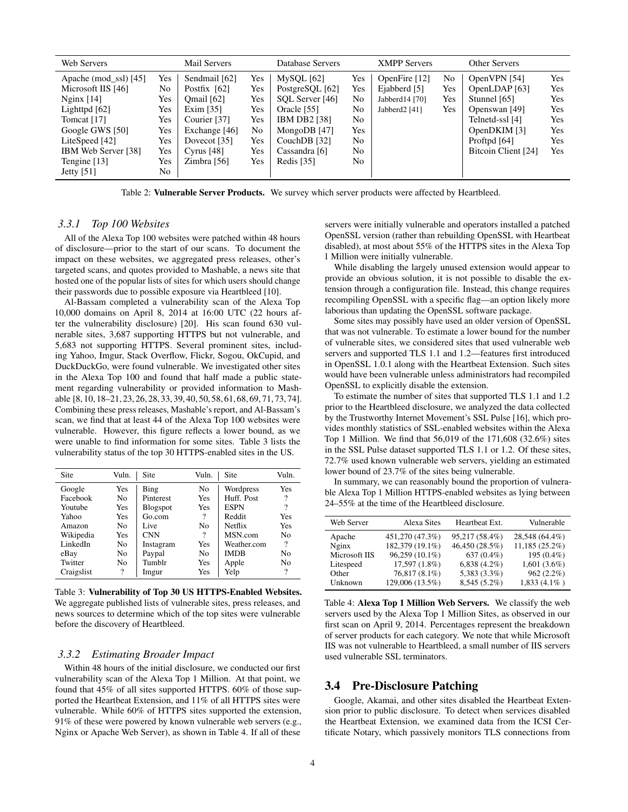<span id="page-3-0"></span>

| Web Servers           |            | <b>Mail Servers</b> |     | Database Servers    |                | <b>XMPP Servers</b> |      | <b>Other Servers</b> |      |
|-----------------------|------------|---------------------|-----|---------------------|----------------|---------------------|------|----------------------|------|
| Apache (mod_ssl) [45] | Yes        | Sendmail [62]       | Yes | $MySQL$ [62]        | Yes            | OpenFire [12]       | No   | OpenVPN [54]         | Yes. |
| Microsoft IIS [46]    | No         | Postfix $[62]$      | Yes | PostgreSQL [62]     | Yes            | Ejabberd [5]        | Yes  | OpenLDAP [63]        | Yes  |
| Nginx $[14]$          | Yes        | Omail $[62]$        | Yes | SOL Server [46]     | No             | Jabberd14 [70]      | Yes  | Stunnel [65]         | Yes  |
| Lighttpd [62]         | Yes        | Exim $[35]$         | Yes | Oracle [55]         | No             | Jabberd2 [41]       | Yes. | Openswan [49]        | Yes  |
| Tomcat [17]           | Yes        | Courier [37]        | Yes | <b>IBM DB2 [38]</b> | N <sub>0</sub> |                     |      | Telnetd-ssl [4]      | Yes  |
| Google GWS [50]       | Yes        | Exchange [46]       | No  | MongoDB $[47]$      | Yes            |                     |      | OpenDKIM [3]         | Yes  |
| LiteSpeed [42]        | Yes        | Dovecot [35]        | Yes | CouchDB $[32]$      | N <sub>0</sub> |                     |      | Proftpd [64]         | Yes  |
| IBM Web Server [38]   | <b>Yes</b> | Cyrus $[48]$        | Yes | Cassandra [6]       | N <sub>0</sub> |                     |      | Bitcoin Client [24]  | Yes  |
| Tengine [13]          | Yes        | Zimbra [56]         | Yes | Redis $[35]$        | No             |                     |      |                      |      |
| Jetty $[51]$          | No         |                     |     |                     |                |                     |      |                      |      |

Table 2: Vulnerable Server Products. We survey which server products were affected by Heartbleed.

#### *3.3.1 Top 100 Websites*

All of the Alexa Top 100 websites were patched within 48 hours of disclosure—prior to the start of our scans. To document the impact on these websites, we aggregated press releases, other's targeted scans, and quotes provided to Mashable, a news site that hosted one of the popular lists of sites for which users should change their passwords due to possible exposure via Heartbleed [\[10\]](#page-12-23).

Al-Bassam completed a vulnerability scan of the Alexa Top 10,000 domains on April 8, 2014 at 16:00 UTC (22 hours after the vulnerability disclosure) [\[20\]](#page-12-24). His scan found 630 vulnerable sites, 3,687 supporting HTTPS but not vulnerable, and 5,683 not supporting HTTPS. Several prominent sites, including Yahoo, Imgur, Stack Overflow, Flickr, Sogou, OkCupid, and DuckDuckGo, were found vulnerable. We investigated other sites in the Alexa Top 100 and found that half made a public statement regarding vulnerability or provided information to Mashable [\[8,](#page-11-5) [10,](#page-12-23) [18–](#page-12-25)[21,](#page-12-26) [23,](#page-12-27) [26,](#page-12-28) [28,](#page-12-29) [33,](#page-12-30) [39,](#page-12-31) [40,](#page-12-32) [50,](#page-12-15) [58,](#page-13-13) [61,](#page-13-14) [68,](#page-13-15) [69,](#page-13-16) [71,](#page-13-17) [73,](#page-13-18) [74\]](#page-13-19). Combining these press releases, Mashable's report, and Al-Bassam's scan, we find that at least 44 of the Alexa Top 100 websites were vulnerable. However, this figure reflects a lower bound, as we were unable to find information for some sites. Table [3](#page-3-1) lists the vulnerability status of the top 30 HTTPS-enabled sites in the US.

<span id="page-3-1"></span>

| Site       | Vuln.          | Site            | Vuln.                    | Site        | Vuln.                    |
|------------|----------------|-----------------|--------------------------|-------------|--------------------------|
| Google     | Yes            | Bing            | N <sub>0</sub>           | Wordpress   | Yes                      |
| Facebook   | No.            | Pinterest       | Yes                      | Huff. Post  | $\overline{\mathcal{L}}$ |
| Youtube    | <b>Yes</b>     | <b>Blogspot</b> | Yes                      | <b>ESPN</b> | 7                        |
| Yahoo      | Yes            | Go.com          | ?                        | Reddit      | Yes                      |
| Amazon     | No.            | Live            | N <sub>0</sub>           | Netflix     | Yes                      |
| Wikipedia  | <b>Yes</b>     | <b>CNN</b>      | $\overline{\mathcal{L}}$ | MSN.com     | N <sub>0</sub>           |
| LinkedIn   | No.            | Instagram       | Yes                      | Weather.com | 7                        |
| eBay       | No.            | Paypal          | N <sub>0</sub>           | <b>IMDB</b> | No                       |
| Twitter    | N <sub>0</sub> | Tumblr          | Yes                      | Apple       | No.                      |
| Craigslist | ?              | Imgur           | Yes                      | Yelp        | 9                        |

Table 3: Vulnerability of Top 30 US HTTPS-Enabled Websites. We aggregate published lists of vulnerable sites, press releases, and news sources to determine which of the top sites were vulnerable before the discovery of Heartbleed.

#### *3.3.2 Estimating Broader Impact*

Within 48 hours of the initial disclosure, we conducted our first vulnerability scan of the Alexa Top 1 Million. At that point, we found that 45% of all sites supported HTTPS. 60% of those supported the Heartbeat Extension, and 11% of all HTTPS sites were vulnerable. While 60% of HTTPS sites supported the extension, 91% of these were powered by known vulnerable web servers (e.g., Nginx or Apache Web Server), as shown in Table [4.](#page-3-2) If all of these servers were initially vulnerable and operators installed a patched OpenSSL version (rather than rebuilding OpenSSL with Heartbeat disabled), at most about 55% of the HTTPS sites in the Alexa Top 1 Million were initially vulnerable.

While disabling the largely unused extension would appear to provide an obvious solution, it is not possible to disable the extension through a configuration file. Instead, this change requires recompiling OpenSSL with a specific flag—an option likely more laborious than updating the OpenSSL software package.

Some sites may possibly have used an older version of OpenSSL that was not vulnerable. To estimate a lower bound for the number of vulnerable sites, we considered sites that used vulnerable web servers and supported TLS 1.1 and 1.2—features first introduced in OpenSSL 1.0.1 along with the Heartbeat Extension. Such sites would have been vulnerable unless administrators had recompiled OpenSSL to explicitly disable the extension.

To estimate the number of sites that supported TLS 1.1 and 1.2 prior to the Heartbleed disclosure, we analyzed the data collected by the Trustworthy Internet Movement's SSL Pulse [\[16\]](#page-12-33), which provides monthly statistics of SSL-enabled websites within the Alexa Top 1 Million. We find that 56,019 of the 171,608 (32.6%) sites in the SSL Pulse dataset supported TLS 1.1 or 1.2. Of these sites, 72.7% used known vulnerable web servers, yielding an estimated lower bound of 23.7% of the sites being vulnerable.

In summary, we can reasonably bound the proportion of vulnerable Alexa Top 1 Million HTTPS-enabled websites as lying between 24–55% at the time of the Heartbleed disclosure.

<span id="page-3-2"></span>

| Web Server    | Alexa Sites     | Heartbeat Ext. | Vulnerable     |
|---------------|-----------------|----------------|----------------|
| Apache        | 451,270 (47.3%) | 95,217 (58.4%) | 28,548 (64.4%) |
| Nginx         | 182,379 (19.1%) | 46,450 (28.5%) | 11,185 (25.2%) |
| Microsoft IIS | 96,259 (10.1%)  | 637 $(0.4\%)$  | 195 (0.4%)     |
| Litespeed     | 17,597 (1.8%)   | $6,838(4.2\%)$ | $1,601(3.6\%)$ |
| Other         | 76,817 (8.1%)   | 5,383 (3.3%)   | 962(2.2%)      |
| Unknown       | 129,006 (13.5%) | 8,545 (5.2%)   | $1,833(4.1\%)$ |

Table 4: Alexa Top 1 Million Web Servers. We classify the web servers used by the Alexa Top 1 Million Sites, as observed in our first scan on April 9, 2014. Percentages represent the breakdown of server products for each category. We note that while Microsoft IIS was not vulnerable to Heartbleed, a small number of IIS servers used vulnerable SSL terminators.

#### 3.4 Pre-Disclosure Patching

Google, Akamai, and other sites disabled the Heartbeat Extension prior to public disclosure. To detect when services disabled the Heartbeat Extension, we examined data from the ICSI Certificate Notary, which passively monitors TLS connections from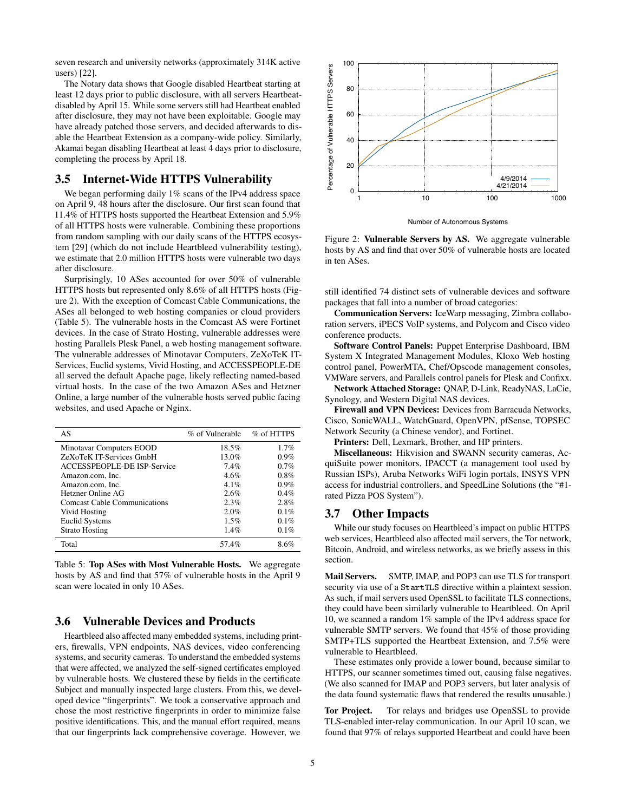seven research and university networks (approximately 314K active users) [\[22\]](#page-12-34).

The Notary data shows that Google disabled Heartbeat starting at least 12 days prior to public disclosure, with all servers Heartbeatdisabled by April 15. While some servers still had Heartbeat enabled after disclosure, they may not have been exploitable. Google may have already patched those servers, and decided afterwards to disable the Heartbeat Extension as a company-wide policy. Similarly, Akamai began disabling Heartbeat at least 4 days prior to disclosure, completing the process by April 18.

# 3.5 Internet-Wide HTTPS Vulnerability

We began performing daily 1% scans of the IPv4 address space on April 9, 48 hours after the disclosure. Our first scan found that 11.4% of HTTPS hosts supported the Heartbeat Extension and 5.9% of all HTTPS hosts were vulnerable. Combining these proportions from random sampling with our daily scans of the HTTPS ecosystem [\[29\]](#page-12-3) (which do not include Heartbleed vulnerability testing), we estimate that 2.0 million HTTPS hosts were vulnerable two days after disclosure.

Surprisingly, 10 ASes accounted for over 50% of vulnerable HTTPS hosts but represented only 8.6% of all HTTPS hosts [\(Fig](#page-4-0)[ure 2\)](#page-4-0). With the exception of Comcast Cable Communications, the ASes all belonged to web hosting companies or cloud providers (Table [5\)](#page-4-1). The vulnerable hosts in the Comcast AS were Fortinet devices. In the case of Strato Hosting, vulnerable addresses were hosting Parallels Plesk Panel, a web hosting management software. The vulnerable addresses of Minotavar Computers, ZeXoTeK IT-Services, Euclid systems, Vivid Hosting, and ACCESSPEOPLE-DE all served the default Apache page, likely reflecting named-based virtual hosts. In the case of the two Amazon ASes and Hetzner Online, a large number of the vulnerable hosts served public facing websites, and used Apache or Nginx.

<span id="page-4-1"></span>

| AS                                  | % of Vulnerable | % of HTTPS |
|-------------------------------------|-----------------|------------|
| Minotavar Computers EOOD            | 18.5%           | 1.7%       |
| ZeXoTeK IT-Services GmbH            | 13.0%           | $0.9\%$    |
| <b>ACCESSPEOPLE-DE ISP-Service</b>  | 7.4%            | 0.7%       |
| Amazon.com. Inc.                    | 4.6%            | 0.8%       |
| Amazon.com. Inc.                    | 4.1%            | 0.9%       |
| Hetzner Online AG                   | 2.6%            | 0.4%       |
| <b>Comcast Cable Communications</b> | 2.3%            | 2.8%       |
| Vivid Hosting                       | 2.0%            | 0.1%       |
| <b>Euclid Systems</b>               | 1.5%            | 0.1%       |
| <b>Strato Hosting</b>               | 1.4%            | 0.1%       |
| Total                               | 57.4%           | 8.6%       |

Table 5: Top ASes with Most Vulnerable Hosts. We aggregate hosts by AS and find that 57% of vulnerable hosts in the April 9 scan were located in only 10 ASes.

# <span id="page-4-2"></span>3.6 Vulnerable Devices and Products

Heartbleed also affected many embedded systems, including printers, firewalls, VPN endpoints, NAS devices, video conferencing systems, and security cameras. To understand the embedded systems that were affected, we analyzed the self-signed certificates employed by vulnerable hosts. We clustered these by fields in the certificate Subject and manually inspected large clusters. From this, we developed device "fingerprints". We took a conservative approach and chose the most restrictive fingerprints in order to minimize false positive identifications. This, and the manual effort required, means that our fingerprints lack comprehensive coverage. However, we

<span id="page-4-0"></span>

Number of Autonomous Systems

Figure 2: Vulnerable Servers by AS. We aggregate vulnerable hosts by AS and find that over 50% of vulnerable hosts are located in ten ASes.

still identified 74 distinct sets of vulnerable devices and software packages that fall into a number of broad categories:

Communication Servers: IceWarp messaging, Zimbra collaboration servers, iPECS VoIP systems, and Polycom and Cisco video conference products.

Software Control Panels: Puppet Enterprise Dashboard, IBM System X Integrated Management Modules, Kloxo Web hosting control panel, PowerMTA, Chef/Opscode management consoles, VMWare servers, and Parallels control panels for Plesk and Confixx.

Network Attached Storage: QNAP, D-Link, ReadyNAS, LaCie, Synology, and Western Digital NAS devices.

Firewall and VPN Devices: Devices from Barracuda Networks, Cisco, SonicWALL, WatchGuard, OpenVPN, pfSense, TOPSEC Network Security (a Chinese vendor), and Fortinet.

Printers: Dell, Lexmark, Brother, and HP printers.

Miscellaneous: Hikvision and SWANN security cameras, AcquiSuite power monitors, IPACCT (a management tool used by Russian ISPs), Aruba Networks WiFi login portals, INSYS VPN access for industrial controllers, and SpeedLine Solutions (the "#1 rated Pizza POS System").

#### 3.7 Other Impacts

While our study focuses on Heartbleed's impact on public HTTPS web services, Heartbleed also affected mail servers, the Tor network, Bitcoin, Android, and wireless networks, as we briefly assess in this section.

Mail Servers. SMTP, IMAP, and POP3 can use TLS for transport security via use of a StartTLS directive within a plaintext session. As such, if mail servers used OpenSSL to facilitate TLS connections, they could have been similarly vulnerable to Heartbleed. On April 10, we scanned a random 1% sample of the IPv4 address space for vulnerable SMTP servers. We found that 45% of those providing SMTP+TLS supported the Heartbeat Extension, and 7.5% were vulnerable to Heartbleed.

These estimates only provide a lower bound, because similar to HTTPS, our scanner sometimes timed out, causing false negatives. (We also scanned for IMAP and POP3 servers, but later analysis of the data found systematic flaws that rendered the results unusable.)

Tor Project. Tor relays and bridges use OpenSSL to provide TLS-enabled inter-relay communication. In our April 10 scan, we found that 97% of relays supported Heartbeat and could have been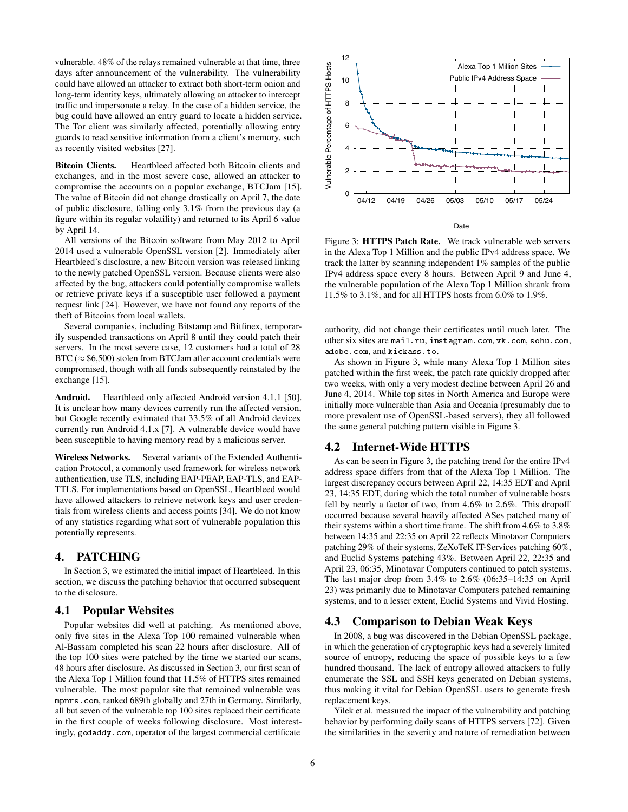vulnerable. 48% of the relays remained vulnerable at that time, three days after announcement of the vulnerability. The vulnerability could have allowed an attacker to extract both short-term onion and long-term identity keys, ultimately allowing an attacker to intercept traffic and impersonate a relay. In the case of a hidden service, the bug could have allowed an entry guard to locate a hidden service. The Tor client was similarly affected, potentially allowing entry guards to read sensitive information from a client's memory, such as recently visited websites [\[27\]](#page-12-35).

Bitcoin Clients. Heartbleed affected both Bitcoin clients and exchanges, and in the most severe case, allowed an attacker to compromise the accounts on a popular exchange, BTCJam [\[15\]](#page-12-36). The value of Bitcoin did not change drastically on April 7, the date of public disclosure, falling only 3.1% from the previous day (a figure within its regular volatility) and returned to its April 6 value by April 14.

All versions of the Bitcoin software from May 2012 to April 2014 used a vulnerable OpenSSL version [\[2\]](#page-11-6). Immediately after Heartbleed's disclosure, a new Bitcoin version was released linking to the newly patched OpenSSL version. Because clients were also affected by the bug, attackers could potentially compromise wallets or retrieve private keys if a susceptible user followed a payment request link [\[24\]](#page-12-20). However, we have not found any reports of the theft of Bitcoins from local wallets.

Several companies, including Bitstamp and Bitfinex, temporarily suspended transactions on April 8 until they could patch their servers. In the most severe case, 12 customers had a total of 28 BTC ( $\approx$  \$6,500) stolen from BTCJam after account credentials were compromised, though with all funds subsequently reinstated by the exchange [\[15\]](#page-12-36).

Android. Heartbleed only affected Android version 4.1.1 [\[50\]](#page-12-15). It is unclear how many devices currently run the affected version, but Google recently estimated that 33.5% of all Android devices currently run Android 4.1.x [\[7\]](#page-11-7). A vulnerable device would have been susceptible to having memory read by a malicious server.

Wireless Networks. Several variants of the Extended Authentication Protocol, a commonly used framework for wireless network authentication, use TLS, including EAP-PEAP, EAP-TLS, and EAP-TTLS. For implementations based on OpenSSL, Heartbleed would have allowed attackers to retrieve network keys and user credentials from wireless clients and access points [\[34\]](#page-12-37). We do not know of any statistics regarding what sort of vulnerable population this potentially represents.

# 4. PATCHING

In Section [3,](#page-2-0) we estimated the initial impact of Heartbleed. In this section, we discuss the patching behavior that occurred subsequent to the disclosure.

### 4.1 Popular Websites

Popular websites did well at patching. As mentioned above, only five sites in the Alexa Top 100 remained vulnerable when Al-Bassam completed his scan 22 hours after disclosure. All of the top 100 sites were patched by the time we started our scans, 48 hours after disclosure. As discussed in Section [3,](#page-2-0) our first scan of the Alexa Top 1 Million found that 11.5% of HTTPS sites remained vulnerable. The most popular site that remained vulnerable was mpnrs.com, ranked 689th globally and 27th in Germany. Similarly, all but seven of the vulnerable top 100 sites replaced their certificate in the first couple of weeks following disclosure. Most interestingly, godaddy.com, operator of the largest commercial certificate

<span id="page-5-0"></span>

Date

Figure 3: HTTPS Patch Rate. We track vulnerable web servers in the Alexa Top 1 Million and the public IPv4 address space. We track the latter by scanning independent 1% samples of the public IPv4 address space every 8 hours. Between April 9 and June 4, the vulnerable population of the Alexa Top 1 Million shrank from 11.5% to 3.1%, and for all HTTPS hosts from 6.0% to 1.9%.

authority, did not change their certificates until much later. The other six sites are mail.ru, instagram.com, vk.com, sohu.com, adobe.com, and kickass.to.

As shown in Figure [3,](#page-5-0) while many Alexa Top 1 Million sites patched within the first week, the patch rate quickly dropped after two weeks, with only a very modest decline between April 26 and June 4, 2014. While top sites in North America and Europe were initially more vulnerable than Asia and Oceania (presumably due to more prevalent use of OpenSSL-based servers), they all followed the same general patching pattern visible in Figure [3.](#page-5-0)

#### 4.2 Internet-Wide HTTPS

As can be seen in Figure [3,](#page-5-0) the patching trend for the entire IPv4 address space differs from that of the Alexa Top 1 Million. The largest discrepancy occurs between April 22, 14:35 EDT and April 23, 14:35 EDT, during which the total number of vulnerable hosts fell by nearly a factor of two, from 4.6% to 2.6%. This dropoff occurred because several heavily affected ASes patched many of their systems within a short time frame. The shift from 4.6% to 3.8% between 14:35 and 22:35 on April 22 reflects Minotavar Computers patching 29% of their systems, ZeXoTeK IT-Services patching 60%, and Euclid Systems patching 43%. Between April 22, 22:35 and April 23, 06:35, Minotavar Computers continued to patch systems. The last major drop from 3.4% to 2.6% (06:35–14:35 on April 23) was primarily due to Minotavar Computers patched remaining systems, and to a lesser extent, Euclid Systems and Vivid Hosting.

## 4.3 Comparison to Debian Weak Keys

In 2008, a bug was discovered in the Debian OpenSSL package, in which the generation of cryptographic keys had a severely limited source of entropy, reducing the space of possible keys to a few hundred thousand. The lack of entropy allowed attackers to fully enumerate the SSL and SSH keys generated on Debian systems, thus making it vital for Debian OpenSSL users to generate fresh replacement keys.

Yilek et al. measured the impact of the vulnerability and patching behavior by performing daily scans of HTTPS servers [\[72\]](#page-13-20). Given the similarities in the severity and nature of remediation between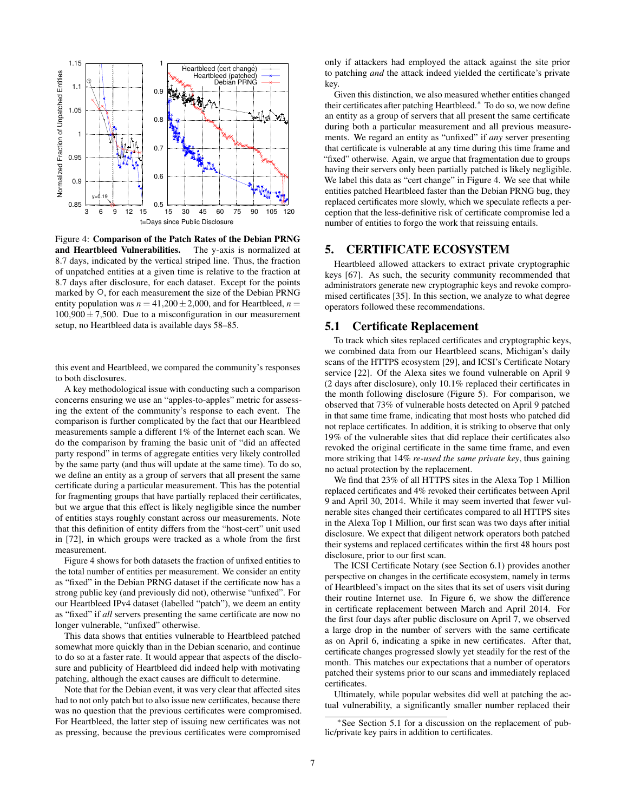<span id="page-6-0"></span>

Figure 4: Comparison of the Patch Rates of the Debian PRNG and Heartbleed Vulnerabilities. The y-axis is normalized at 8.7 days, indicated by the vertical striped line. Thus, the fraction of unpatched entities at a given time is relative to the fraction at 8.7 days after disclosure, for each dataset. Except for the points marked by  $\circ$ , for each measurement the size of the Debian PRNG entity population was  $n = 41,200 \pm 2,000$ , and for Heartbleed,  $n =$  $100,900 \pm 7,500$ . Due to a misconfiguration in our measurement setup, no Heartbleed data is available days 58–85.

this event and Heartbleed, we compared the community's responses to both disclosures.

A key methodological issue with conducting such a comparison concerns ensuring we use an "apples-to-apples" metric for assessing the extent of the community's response to each event. The comparison is further complicated by the fact that our Heartbleed measurements sample a different 1% of the Internet each scan. We do the comparison by framing the basic unit of "did an affected party respond" in terms of aggregate entities very likely controlled by the same party (and thus will update at the same time). To do so, we define an entity as a group of servers that all present the same certificate during a particular measurement. This has the potential for fragmenting groups that have partially replaced their certificates, but we argue that this effect is likely negligible since the number of entities stays roughly constant across our measurements. Note that this definition of entity differs from the "host-cert" unit used in [\[72\]](#page-13-20), in which groups were tracked as a whole from the first measurement.

Figure [4](#page-6-0) shows for both datasets the fraction of unfixed entities to the total number of entities per measurement. We consider an entity as "fixed" in the Debian PRNG dataset if the certificate now has a strong public key (and previously did not), otherwise "unfixed". For our Heartbleed IPv4 dataset (labelled "patch"), we deem an entity as "fixed" if *all* servers presenting the same certificate are now no longer vulnerable, "unfixed" otherwise.

This data shows that entities vulnerable to Heartbleed patched somewhat more quickly than in the Debian scenario, and continue to do so at a faster rate. It would appear that aspects of the disclosure and publicity of Heartbleed did indeed help with motivating patching, although the exact causes are difficult to determine.

Note that for the Debian event, it was very clear that affected sites had to not only patch but to also issue new certificates, because there was no question that the previous certificates were compromised. For Heartbleed, the latter step of issuing new certificates was not as pressing, because the previous certificates were compromised only if attackers had employed the attack against the site prior to patching *and* the attack indeed yielded the certificate's private key.

Given this distinction, we also measured whether entities changed their certificates after patching Heartbleed.[∗](#page-0-0) To do so, we now define an entity as a group of servers that all present the same certificate during both a particular measurement and all previous measurements. We regard an entity as "unfixed" if *any* server presenting that certificate is vulnerable at any time during this time frame and "fixed" otherwise. Again, we argue that fragmentation due to groups having their servers only been partially patched is likely negligible. We label this data as "cert change" in Figure [4.](#page-6-0) We see that while entities patched Heartbleed faster than the Debian PRNG bug, they replaced certificates more slowly, which we speculate reflects a perception that the less-definitive risk of certificate compromise led a number of entities to forgo the work that reissuing entails.

# <span id="page-6-2"></span>5. CERTIFICATE ECOSYSTEM

Heartbleed allowed attackers to extract private cryptographic keys [\[67\]](#page-13-3). As such, the security community recommended that administrators generate new cryptographic keys and revoke compromised certificates [\[35\]](#page-12-9). In this section, we analyze to what degree operators followed these recommendations.

# <span id="page-6-1"></span>5.1 Certificate Replacement

To track which sites replaced certificates and cryptographic keys, we combined data from our Heartbleed scans, Michigan's daily scans of the HTTPS ecosystem [\[29\]](#page-12-3), and ICSI's Certificate Notary service [\[22\]](#page-12-34). Of the Alexa sites we found vulnerable on April 9 (2 days after disclosure), only 10.1% replaced their certificates in the month following disclosure (Figure [5\)](#page-7-0). For comparison, we observed that 73% of vulnerable hosts detected on April 9 patched in that same time frame, indicating that most hosts who patched did not replace certificates. In addition, it is striking to observe that only 19% of the vulnerable sites that did replace their certificates also revoked the original certificate in the same time frame, and even more striking that 14% *re-used the same private key*, thus gaining no actual protection by the replacement.

We find that 23% of all HTTPS sites in the Alexa Top 1 Million replaced certificates and 4% revoked their certificates between April 9 and April 30, 2014. While it may seem inverted that fewer vulnerable sites changed their certificates compared to all HTTPS sites in the Alexa Top 1 Million, our first scan was two days after initial disclosure. We expect that diligent network operators both patched their systems and replaced certificates within the first 48 hours post disclosure, prior to our first scan.

The ICSI Certificate Notary (see Section [6.1\)](#page-8-0) provides another perspective on changes in the certificate ecosystem, namely in terms of Heartbleed's impact on the sites that its set of users visit during their routine Internet use. In Figure [6,](#page-7-0) we show the difference in certificate replacement between March and April 2014. For the first four days after public disclosure on April 7, we observed a large drop in the number of servers with the same certificate as on April 6, indicating a spike in new certificates. After that, certificate changes progressed slowly yet steadily for the rest of the month. This matches our expectations that a number of operators patched their systems prior to our scans and immediately replaced certificates.

Ultimately, while popular websites did well at patching the actual vulnerability, a significantly smaller number replaced their

<sup>∗</sup>See Section [5.1](#page-6-1) for a discussion on the replacement of public/private key pairs in addition to certificates.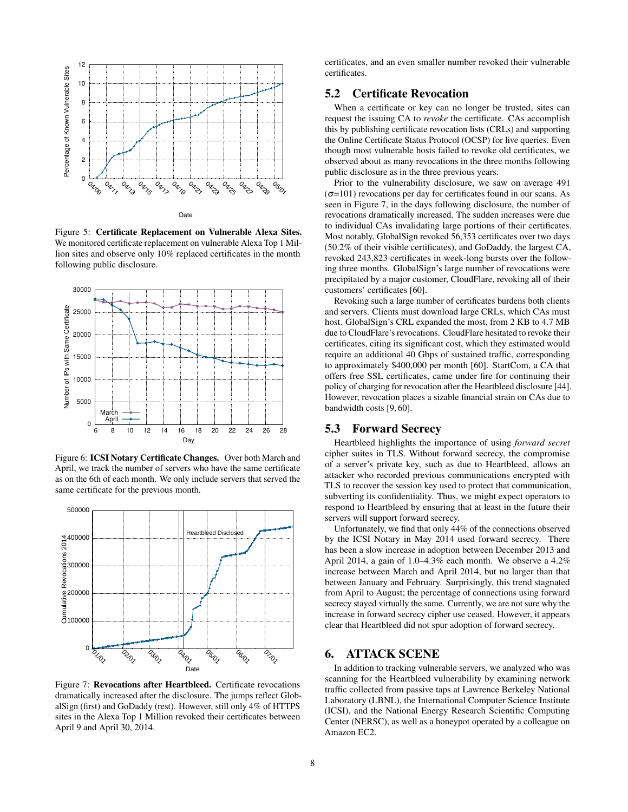<span id="page-7-0"></span>

Figure 5: Certificate Replacement on Vulnerable Alexa Sites. We monitored certificate replacement on vulnerable Alexa Top 1 Million sites and observe only 10% replaced certificates in the month following public disclosure.



Figure 6: ICSI Notary Certificate Changes. Over both March and April, we track the number of servers who have the same certificate as on the 6th of each month. We only include servers that served the same certificate for the previous month.



Figure 7: Revocations after Heartbleed. Certificate revocations dramatically increased after the disclosure. The jumps reflect GlobalSign (first) and GoDaddy (rest). However, still only 4% of HTTPS sites in the Alexa Top 1 Million revoked their certificates between April 9 and April 30, 2014.

### 5.2 Certificate Revocation

When a certificate or key can no longer be trusted, sites can request the issuing CA to *revoke* the certificate. CAs accomplish this by publishing certificate revocation lists (CRLs) and supporting the Online Certificate Status Protocol (OCSP) for live queries. Even though most vulnerable hosts failed to revoke old certificates, we observed about as many revocations in the three months following public disclosure as in the three previous years.

Prior to the vulnerability disclosure, we saw on average 491  $(\sigma=101)$  revocations per day for certificates found in our scans. As seen in Figure [7,](#page-7-0) in the days following disclosure, the number of revocations dramatically increased. The sudden increases were due to individual CAs invalidating large portions of their certificates. Most notably, GlobalSign revoked 56,353 certificates over two days (50.2% of their visible certificates), and GoDaddy, the largest CA, revoked 243,823 certificates in week-long bursts over the following three months. GlobalSign's large number of revocations were precipitated by a major customer, CloudFlare, revoking all of their customers' certificates [\[60\]](#page-13-21).

Revoking such a large number of certificates burdens both clients and servers. Clients must download large CRLs, which CAs must host. GlobalSign's CRL expanded the most, from 2 KB to 4.7 MB due to CloudFlare's revocations. CloudFlare hesitated to revoke their certificates, citing its significant cost, which they estimated would require an additional 40 Gbps of sustained traffic, corresponding to approximately \$400,000 per month [\[60\]](#page-13-21). StartCom, a CA that offers free SSL certificates, came under fire for continuing their policy of charging for revocation after the Heartbleed disclosure [\[44\]](#page-12-38). However, revocation places a sizable financial strain on CAs due to bandwidth costs [\[9,](#page-11-8) [60\]](#page-13-21).

# 5.3 Forward Secrecy

Heartbleed highlights the importance of using *forward secret* cipher suites in TLS. Without forward secrecy, the compromise of a server's private key, such as due to Heartbleed, allows an attacker who recorded previous communications encrypted with TLS to recover the session key used to protect that communication, subverting its confidentiality. Thus, we might expect operators to respond to Heartbleed by ensuring that at least in the future their servers will support forward secrecy.

Unfortunately, we find that only 44% of the connections observed by the ICSI Notary in May 2014 used forward secrecy. There has been a slow increase in adoption between December 2013 and April 2014, a gain of 1.0–4.3% each month. We observe a 4.2% increase between March and April 2014, but no larger than that between January and February. Surprisingly, this trend stagnated from April to August; the percentage of connections using forward secrecy stayed virtually the same. Currently, we are not sure why the increase in forward secrecy cipher use ceased. However, it appears clear that Heartbleed did not spur adoption of forward secrecy.

# 6. ATTACK SCENE

In addition to tracking vulnerable servers, we analyzed who was scanning for the Heartbleed vulnerability by examining network traffic collected from passive taps at Lawrence Berkeley National Laboratory (LBNL), the International Computer Science Institute (ICSI), and the National Energy Research Scientific Computing Center (NERSC), as well as a honeypot operated by a colleague on Amazon EC2.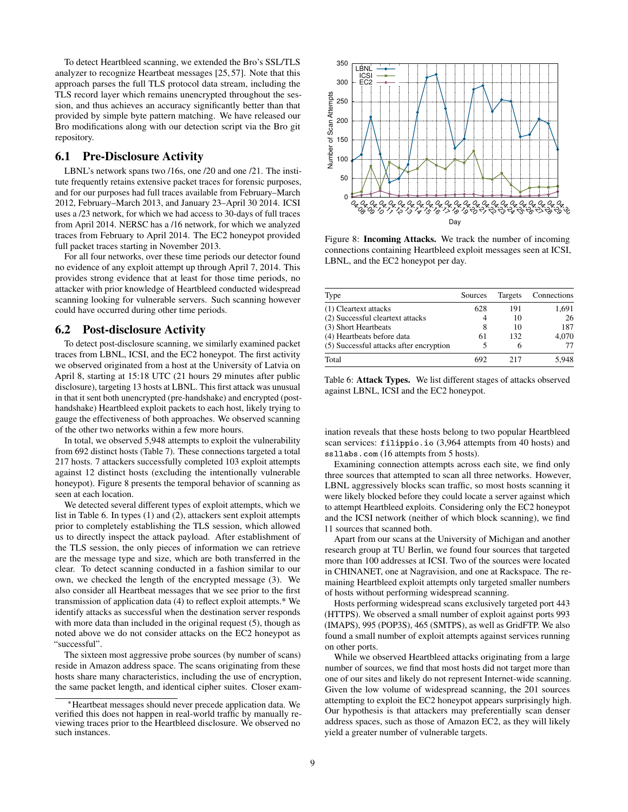To detect Heartbleed scanning, we extended the Bro's SSL/TLS analyzer to recognize Heartbeat messages [\[25,](#page-12-39) [57\]](#page-13-22). Note that this approach parses the full TLS protocol data stream, including the TLS record layer which remains unencrypted throughout the session, and thus achieves an accuracy significantly better than that provided by simple byte pattern matching. We have released our Bro modifications along with our detection script via the Bro git repository.

# <span id="page-8-0"></span>6.1 Pre-Disclosure Activity

LBNL's network spans two /16s, one /20 and one /21. The institute frequently retains extensive packet traces for forensic purposes, and for our purposes had full traces available from February–March 2012, February–March 2013, and January 23–April 30 2014. ICSI uses a /23 network, for which we had access to 30-days of full traces from April 2014. NERSC has a /16 network, for which we analyzed traces from February to April 2014. The EC2 honeypot provided full packet traces starting in November 2013.

For all four networks, over these time periods our detector found no evidence of any exploit attempt up through April 7, 2014. This provides strong evidence that at least for those time periods, no attacker with prior knowledge of Heartbleed conducted widespread scanning looking for vulnerable servers. Such scanning however could have occurred during other time periods.

#### 6.2 Post-disclosure Activity

To detect post-disclosure scanning, we similarly examined packet traces from LBNL, ICSI, and the EC2 honeypot. The first activity we observed originated from a host at the University of Latvia on April 8, starting at 15:18 UTC (21 hours 29 minutes after public disclosure), targeting 13 hosts at LBNL. This first attack was unusual in that it sent both unencrypted (pre-handshake) and encrypted (posthandshake) Heartbleed exploit packets to each host, likely trying to gauge the effectiveness of both approaches. We observed scanning of the other two networks within a few more hours.

In total, we observed 5,948 attempts to exploit the vulnerability from 692 distinct hosts (Table [7\)](#page-9-1). These connections targeted a total 217 hosts. 7 attackers successfully completed 103 exploit attempts against 12 distinct hosts (excluding the intentionally vulnerable honeypot). Figure [8](#page-8-1) presents the temporal behavior of scanning as seen at each location.

We detected several different types of exploit attempts, which we list in Table [6.](#page-8-2) In types (1) and (2), attackers sent exploit attempts prior to completely establishing the TLS session, which allowed us to directly inspect the attack payload. After establishment of the TLS session, the only pieces of information we can retrieve are the message type and size, which are both transferred in the clear. To detect scanning conducted in a fashion similar to our own, we checked the length of the encrypted message (3). We also consider all Heartbeat messages that we see prior to the first transmission of application data (4) to reflect exploit attempts.\* We identify attacks as successful when the destination server responds with more data than included in the original request (5), though as noted above we do not consider attacks on the EC2 honeypot as "successful".

The sixteen most aggressive probe sources (by number of scans) reside in Amazon address space. The scans originating from these hosts share many characteristics, including the use of encryption, the same packet length, and identical cipher suites. Closer exam-

<span id="page-8-1"></span>

Figure 8: Incoming Attacks. We track the number of incoming connections containing Heartbleed exploit messages seen at ICSI, LBNL, and the EC2 honeypot per day.

<span id="page-8-2"></span>

| Sources | Targets | Connections |
|---------|---------|-------------|
| 628     | 191     | 1.691       |
| 4       | 10      | 26          |
| 8       | 10      | 187         |
| 61      | 132     | 4.070       |
|         | 6       |             |
| 692     | 217     | 5.948       |
|         |         |             |

Table 6: Attack Types. We list different stages of attacks observed against LBNL, ICSI and the EC2 honeypot.

ination reveals that these hosts belong to two popular Heartbleed scan services: filippio.io (3,964 attempts from 40 hosts) and ssllabs.com (16 attempts from 5 hosts).

Examining connection attempts across each site, we find only three sources that attempted to scan all three networks. However, LBNL aggressively blocks scan traffic, so most hosts scanning it were likely blocked before they could locate a server against which to attempt Heartbleed exploits. Considering only the EC2 honeypot and the ICSI network (neither of which block scanning), we find 11 sources that scanned both.

Apart from our scans at the University of Michigan and another research group at TU Berlin, we found four sources that targeted more than 100 addresses at ICSI. Two of the sources were located in CHINANET, one at Nagravision, and one at Rackspace. The remaining Heartbleed exploit attempts only targeted smaller numbers of hosts without performing widespread scanning.

Hosts performing widespread scans exclusively targeted port 443 (HTTPS). We observed a small number of exploit against ports 993 (IMAPS), 995 (POP3S), 465 (SMTPS), as well as GridFTP. We also found a small number of exploit attempts against services running on other ports.

While we observed Heartbleed attacks originating from a large number of sources, we find that most hosts did not target more than one of our sites and likely do not represent Internet-wide scanning. Given the low volume of widespread scanning, the 201 sources attempting to exploit the EC2 honeypot appears surprisingly high. Our hypothesis is that attackers may preferentially scan denser address spaces, such as those of Amazon EC2, as they will likely yield a greater number of vulnerable targets.

<sup>∗</sup>Heartbeat messages should never precede application data. We verified this does not happen in real-world traffic by manually reviewing traces prior to the Heartbleed disclosure. We observed no such instances.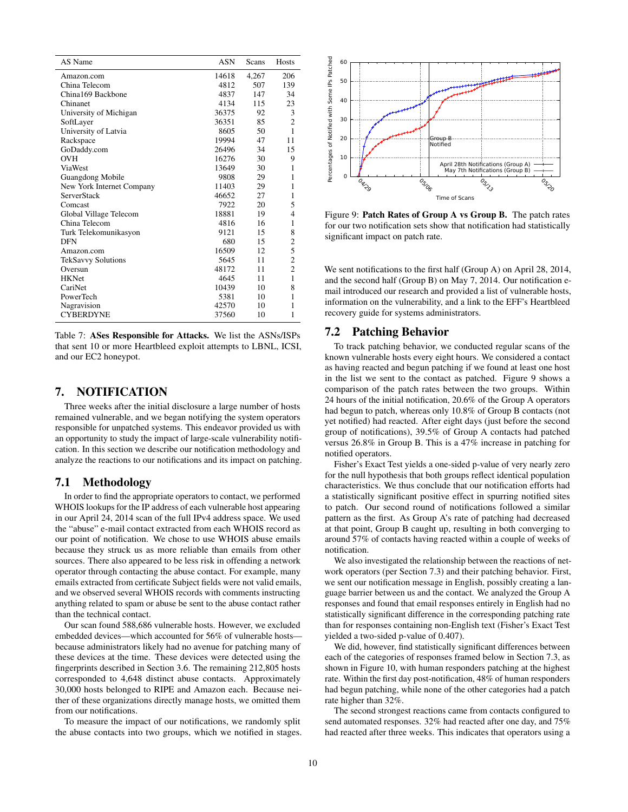<span id="page-9-1"></span>

| AS Name                   | <b>ASN</b> | Scans | <b>Hosts</b>   |
|---------------------------|------------|-------|----------------|
| Amazon.com                | 14618      | 4,267 | 206            |
| China Telecom             | 4812       | 507   | 139            |
| China169 Backbone         | 4837       | 147   | 34             |
| Chinanet                  | 4134       | 115   | 23             |
| University of Michigan    | 36375      | 92    | 3              |
| SoftLayer                 | 36351      | 85    | $\overline{2}$ |
| University of Latvia      | 8605       | 50    | 1              |
| Rackspace                 | 19994      | 47    | 11             |
| GoDaddy.com               | 26496      | 34    | 15             |
| <b>OVH</b>                | 16276      | 30    | 9              |
| <b>ViaWest</b>            | 13649      | 30    | 1              |
| Guangdong Mobile          | 9808       | 29    | 1              |
| New York Internet Company | 11403      | 29    | 1              |
| <b>ServerStack</b>        | 46652      | 27    | 1              |
| Comcast                   | 7922       | 20    | 5              |
| Global Village Telecom    | 18881      | 19    | 4              |
| China Telecom             | 4816       | 16    | 1              |
| Turk Telekomunikasyon     | 9121       | 15    | 8              |
| <b>DFN</b>                | 680        | 15    | $\overline{c}$ |
| Amazon.com                | 16509      | 12    | 5              |
| <b>TekSavvy Solutions</b> | 5645       | 11    | $\overline{2}$ |
| Oversun                   | 48172      | 11    | $\overline{2}$ |
| <b>HKNet</b>              | 4645       | 11    | 1              |
| CariNet                   | 10439      | 10    | 8              |
| PowerTech                 | 5381       | 10    | 1              |
| Nagravision               | 42570      | 10    | 1              |
| <b>CYBERDYNE</b>          | 37560      | 10    | 1              |

Table 7: ASes Responsible for Attacks. We list the ASNs/ISPs that sent 10 or more Heartbleed exploit attempts to LBNL, ICSI, and our EC2 honeypot.

# <span id="page-9-0"></span>7. NOTIFICATION

Three weeks after the initial disclosure a large number of hosts remained vulnerable, and we began notifying the system operators responsible for unpatched systems. This endeavor provided us with an opportunity to study the impact of large-scale vulnerability notification. In this section we describe our notification methodology and analyze the reactions to our notifications and its impact on patching.

## 7.1 Methodology

In order to find the appropriate operators to contact, we performed WHOIS lookups for the IP address of each vulnerable host appearing in our April 24, 2014 scan of the full IPv4 address space. We used the "abuse" e-mail contact extracted from each WHOIS record as our point of notification. We chose to use WHOIS abuse emails because they struck us as more reliable than emails from other sources. There also appeared to be less risk in offending a network operator through contacting the abuse contact. For example, many emails extracted from certificate Subject fields were not valid emails, and we observed several WHOIS records with comments instructing anything related to spam or abuse be sent to the abuse contact rather than the technical contact.

Our scan found 588,686 vulnerable hosts. However, we excluded embedded devices—which accounted for 56% of vulnerable hosts because administrators likely had no avenue for patching many of these devices at the time. These devices were detected using the fingerprints described in Section [3.6.](#page-4-2) The remaining 212,805 hosts corresponded to 4,648 distinct abuse contacts. Approximately 30,000 hosts belonged to RIPE and Amazon each. Because neither of these organizations directly manage hosts, we omitted them from our notifications.

To measure the impact of our notifications, we randomly split the abuse contacts into two groups, which we notified in stages.

<span id="page-9-2"></span>

Figure 9: Patch Rates of Group A vs Group B. The patch rates for our two notification sets show that notification had statistically significant impact on patch rate.

We sent notifications to the first half (Group A) on April 28, 2014, and the second half (Group B) on May 7, 2014. Our notification email introduced our research and provided a list of vulnerable hosts, information on the vulnerability, and a link to the EFF's Heartbleed recovery guide for systems administrators.

# 7.2 Patching Behavior

To track patching behavior, we conducted regular scans of the known vulnerable hosts every eight hours. We considered a contact as having reacted and begun patching if we found at least one host in the list we sent to the contact as patched. Figure [9](#page-9-2) shows a comparison of the patch rates between the two groups. Within 24 hours of the initial notification, 20.6% of the Group A operators had begun to patch, whereas only 10.8% of Group B contacts (not yet notified) had reacted. After eight days (just before the second group of notifications), 39.5% of Group A contacts had patched versus 26.8% in Group B. This is a 47% increase in patching for notified operators.

Fisher's Exact Test yields a one-sided p-value of very nearly zero for the null hypothesis that both groups reflect identical population characteristics. We thus conclude that our notification efforts had a statistically significant positive effect in spurring notified sites to patch. Our second round of notifications followed a similar pattern as the first. As Group A's rate of patching had decreased at that point, Group B caught up, resulting in both converging to around 57% of contacts having reacted within a couple of weeks of notification.

We also investigated the relationship between the reactions of network operators (per Section [7.3\)](#page-10-0) and their patching behavior. First, we sent our notification message in English, possibly creating a language barrier between us and the contact. We analyzed the Group A responses and found that email responses entirely in English had no statistically significant difference in the corresponding patching rate than for responses containing non-English text (Fisher's Exact Test yielded a two-sided p-value of 0.407).

We did, however, find statistically significant differences between each of the categories of responses framed below in Section [7.3,](#page-10-0) as shown in Figure [10,](#page-10-1) with human responders patching at the highest rate. Within the first day post-notification, 48% of human responders had begun patching, while none of the other categories had a patch rate higher than 32%.

The second strongest reactions came from contacts configured to send automated responses. 32% had reacted after one day, and 75% had reacted after three weeks. This indicates that operators using a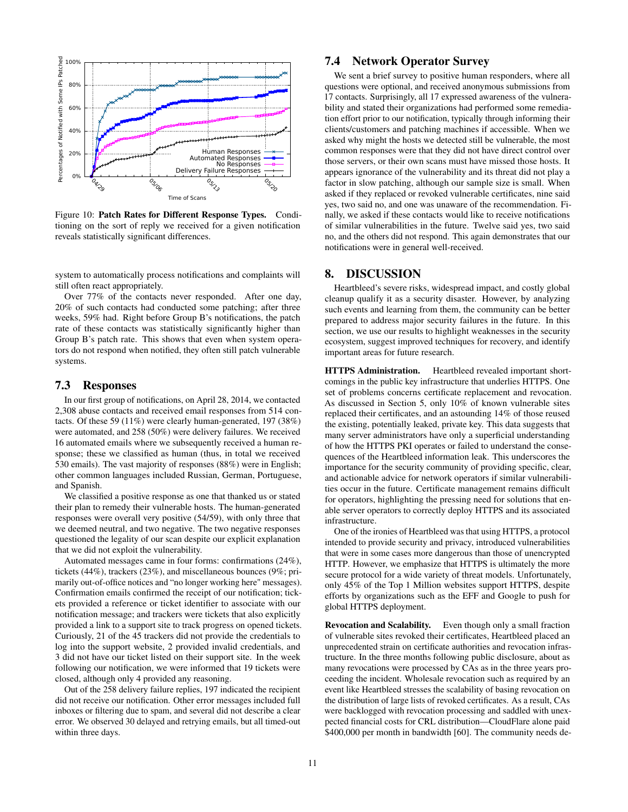<span id="page-10-1"></span>

Figure 10: Patch Rates for Different Response Types. Conditioning on the sort of reply we received for a given notification reveals statistically significant differences.

system to automatically process notifications and complaints will still often react appropriately.

Over 77% of the contacts never responded. After one day, 20% of such contacts had conducted some patching; after three weeks, 59% had. Right before Group B's notifications, the patch rate of these contacts was statistically significantly higher than Group B's patch rate. This shows that even when system operators do not respond when notified, they often still patch vulnerable systems.

#### <span id="page-10-0"></span>7.3 Responses

In our first group of notifications, on April 28, 2014, we contacted 2,308 abuse contacts and received email responses from 514 contacts. Of these 59 (11%) were clearly human-generated, 197 (38%) were automated, and 258 (50%) were delivery failures. We received 16 automated emails where we subsequently received a human response; these we classified as human (thus, in total we received 530 emails). The vast majority of responses (88%) were in English; other common languages included Russian, German, Portuguese, and Spanish.

We classified a positive response as one that thanked us or stated their plan to remedy their vulnerable hosts. The human-generated responses were overall very positive (54/59), with only three that we deemed neutral, and two negative. The two negative responses questioned the legality of our scan despite our explicit explanation that we did not exploit the vulnerability.

Automated messages came in four forms: confirmations (24%), tickets (44%), trackers (23%), and miscellaneous bounces (9%; primarily out-of-office notices and "no longer working here" messages). Confirmation emails confirmed the receipt of our notification; tickets provided a reference or ticket identifier to associate with our notification message; and trackers were tickets that also explicitly provided a link to a support site to track progress on opened tickets. Curiously, 21 of the 45 trackers did not provide the credentials to log into the support website, 2 provided invalid credentials, and 3 did not have our ticket listed on their support site. In the week following our notification, we were informed that 19 tickets were closed, although only 4 provided any reasoning.

Out of the 258 delivery failure replies, 197 indicated the recipient did not receive our notification. Other error messages included full inboxes or filtering due to spam, and several did not describe a clear error. We observed 30 delayed and retrying emails, but all timed-out within three days.

# 7.4 Network Operator Survey

We sent a brief survey to positive human responders, where all questions were optional, and received anonymous submissions from 17 contacts. Surprisingly, all 17 expressed awareness of the vulnerability and stated their organizations had performed some remediation effort prior to our notification, typically through informing their clients/customers and patching machines if accessible. When we asked why might the hosts we detected still be vulnerable, the most common responses were that they did not have direct control over those servers, or their own scans must have missed those hosts. It appears ignorance of the vulnerability and its threat did not play a factor in slow patching, although our sample size is small. When asked if they replaced or revoked vulnerable certificates, nine said yes, two said no, and one was unaware of the recommendation. Finally, we asked if these contacts would like to receive notifications of similar vulnerabilities in the future. Twelve said yes, two said no, and the others did not respond. This again demonstrates that our notifications were in general well-received.

# 8. DISCUSSION

Heartbleed's severe risks, widespread impact, and costly global cleanup qualify it as a security disaster. However, by analyzing such events and learning from them, the community can be better prepared to address major security failures in the future. In this section, we use our results to highlight weaknesses in the security ecosystem, suggest improved techniques for recovery, and identify important areas for future research.

HTTPS Administration. Heartbleed revealed important shortcomings in the public key infrastructure that underlies HTTPS. One set of problems concerns certificate replacement and revocation. As discussed in Section [5,](#page-6-2) only 10% of known vulnerable sites replaced their certificates, and an astounding 14% of those reused the existing, potentially leaked, private key. This data suggests that many server administrators have only a superficial understanding of how the HTTPS PKI operates or failed to understand the consequences of the Heartbleed information leak. This underscores the importance for the security community of providing specific, clear, and actionable advice for network operators if similar vulnerabilities occur in the future. Certificate management remains difficult for operators, highlighting the pressing need for solutions that enable server operators to correctly deploy HTTPS and its associated infrastructure.

One of the ironies of Heartbleed was that using HTTPS, a protocol intended to provide security and privacy, introduced vulnerabilities that were in some cases more dangerous than those of unencrypted HTTP. However, we emphasize that HTTPS is ultimately the more secure protocol for a wide variety of threat models. Unfortunately, only 45% of the Top 1 Million websites support HTTPS, despite efforts by organizations such as the EFF and Google to push for global HTTPS deployment.

Revocation and Scalability. Even though only a small fraction of vulnerable sites revoked their certificates, Heartbleed placed an unprecedented strain on certificate authorities and revocation infrastructure. In the three months following public disclosure, about as many revocations were processed by CAs as in the three years proceeding the incident. Wholesale revocation such as required by an event like Heartbleed stresses the scalability of basing revocation on the distribution of large lists of revoked certificates. As a result, CAs were backlogged with revocation processing and saddled with unexpected financial costs for CRL distribution—CloudFlare alone paid \$400,000 per month in bandwidth [\[60\]](#page-13-21). The community needs de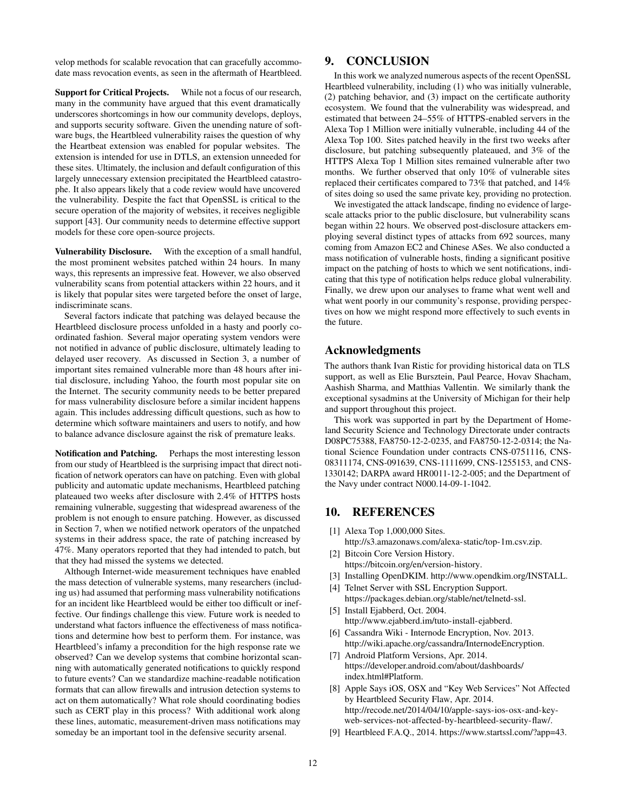velop methods for scalable revocation that can gracefully accommodate mass revocation events, as seen in the aftermath of Heartbleed.

Support for Critical Projects. While not a focus of our research, many in the community have argued that this event dramatically underscores shortcomings in how our community develops, deploys, and supports security software. Given the unending nature of software bugs, the Heartbleed vulnerability raises the question of why the Heartbeat extension was enabled for popular websites. The extension is intended for use in DTLS, an extension unneeded for these sites. Ultimately, the inclusion and default configuration of this largely unnecessary extension precipitated the Heartbleed catastrophe. It also appears likely that a code review would have uncovered the vulnerability. Despite the fact that OpenSSL is critical to the secure operation of the majority of websites, it receives negligible support [\[43\]](#page-12-40). Our community needs to determine effective support models for these core open-source projects.

Vulnerability Disclosure. With the exception of a small handful, the most prominent websites patched within 24 hours. In many ways, this represents an impressive feat. However, we also observed vulnerability scans from potential attackers within 22 hours, and it is likely that popular sites were targeted before the onset of large, indiscriminate scans.

Several factors indicate that patching was delayed because the Heartbleed disclosure process unfolded in a hasty and poorly coordinated fashion. Several major operating system vendors were not notified in advance of public disclosure, ultimately leading to delayed user recovery. As discussed in Section [3,](#page-2-0) a number of important sites remained vulnerable more than 48 hours after initial disclosure, including Yahoo, the fourth most popular site on the Internet. The security community needs to be better prepared for mass vulnerability disclosure before a similar incident happens again. This includes addressing difficult questions, such as how to determine which software maintainers and users to notify, and how to balance advance disclosure against the risk of premature leaks.

Notification and Patching. Perhaps the most interesting lesson from our study of Heartbleed is the surprising impact that direct notification of network operators can have on patching. Even with global publicity and automatic update mechanisms, Heartbleed patching plateaued two weeks after disclosure with 2.4% of HTTPS hosts remaining vulnerable, suggesting that widespread awareness of the problem is not enough to ensure patching. However, as discussed in Section [7,](#page-9-0) when we notified network operators of the unpatched systems in their address space, the rate of patching increased by 47%. Many operators reported that they had intended to patch, but that they had missed the systems we detected.

Although Internet-wide measurement techniques have enabled the mass detection of vulnerable systems, many researchers (including us) had assumed that performing mass vulnerability notifications for an incident like Heartbleed would be either too difficult or ineffective. Our findings challenge this view. Future work is needed to understand what factors influence the effectiveness of mass notifications and determine how best to perform them. For instance, was Heartbleed's infamy a precondition for the high response rate we observed? Can we develop systems that combine horizontal scanning with automatically generated notifications to quickly respond to future events? Can we standardize machine-readable notification formats that can allow firewalls and intrusion detection systems to act on them automatically? What role should coordinating bodies such as CERT play in this process? With additional work along these lines, automatic, measurement-driven mass notifications may someday be an important tool in the defensive security arsenal.

# 9. CONCLUSION

In this work we analyzed numerous aspects of the recent OpenSSL Heartbleed vulnerability, including (1) who was initially vulnerable, (2) patching behavior, and (3) impact on the certificate authority ecosystem. We found that the vulnerability was widespread, and estimated that between 24–55% of HTTPS-enabled servers in the Alexa Top 1 Million were initially vulnerable, including 44 of the Alexa Top 100. Sites patched heavily in the first two weeks after disclosure, but patching subsequently plateaued, and 3% of the HTTPS Alexa Top 1 Million sites remained vulnerable after two months. We further observed that only 10% of vulnerable sites replaced their certificates compared to 73% that patched, and 14% of sites doing so used the same private key, providing no protection.

We investigated the attack landscape, finding no evidence of largescale attacks prior to the public disclosure, but vulnerability scans began within 22 hours. We observed post-disclosure attackers employing several distinct types of attacks from 692 sources, many coming from Amazon EC2 and Chinese ASes. We also conducted a mass notification of vulnerable hosts, finding a significant positive impact on the patching of hosts to which we sent notifications, indicating that this type of notification helps reduce global vulnerability. Finally, we drew upon our analyses to frame what went well and what went poorly in our community's response, providing perspectives on how we might respond more effectively to such events in the future.

# Acknowledgments

The authors thank Ivan Ristic for providing historical data on TLS support, as well as Elie Bursztein, Paul Pearce, Hovav Shacham, Aashish Sharma, and Matthias Vallentin. We similarly thank the exceptional sysadmins at the University of Michigan for their help and support throughout this project.

This work was supported in part by the Department of Homeland Security Science and Technology Directorate under contracts D08PC75388, FA8750-12-2-0235, and FA8750-12-2-0314; the National Science Foundation under contracts CNS-0751116, CNS-08311174, CNS-091639, CNS-1111699, CNS-1255153, and CNS-1330142; DARPA award HR0011-12-2-005; and the Department of the Navy under contract N000.14-09-1-1042.

# 10. REFERENCES

- <span id="page-11-0"></span>[1] Alexa Top 1,000,000 Sites. [http://s3.amazonaws.com/alexa-static/top-1m.csv.zip.](http://s3.amazonaws.com/alexa-static/top-1m.csv.zip)
- <span id="page-11-6"></span>[2] Bitcoin Core Version History. [https://bitcoin.org/en/version-history.](https://bitcoin.org/en/version-history)
- <span id="page-11-3"></span>[3] Installing OpenDKIM. [http://www.opendkim.org/INSTALL.](http://www.opendkim.org/INSTALL)
- <span id="page-11-2"></span>[4] Telnet Server with SSL Encryption Support. [https://packages.debian.org/stable/net/telnetd-ssl.](https://packages.debian.org/stable/net/telnetd-ssl)
- <span id="page-11-1"></span>[5] Install Ejabberd, Oct. 2004. [http://www.ejabberd.im/tuto-install-ejabberd.](http://www.ejabberd.im/tuto-install-ejabberd)
- <span id="page-11-4"></span>[6] Cassandra Wiki - Internode Encryption, Nov. 2013. [http://wiki.apache.org/cassandra/InternodeEncryption.](http://wiki.apache.org/cassandra/InternodeEncryption)
- <span id="page-11-7"></span>[7] Android Platform Versions, Apr. 2014. [https://developer.android.com/about/dashboards/](https://developer.android.com/about/dashboards/index.html#Platform) [index.html#Platform.](https://developer.android.com/about/dashboards/index.html#Platform)
- <span id="page-11-5"></span>[8] Apple Says iOS, OSX and "Key Web Services" Not Affected by Heartbleed Security Flaw, Apr. 2014. [http://recode.net/2014/04/10/apple-says-ios-osx-and-key](http://recode.net/2014/04/10/apple-says-ios-osx-and-key-web-services-not-affected-by-heartbleed-security-flaw/)[web-services-not-affected-by-heartbleed-security-flaw/.](http://recode.net/2014/04/10/apple-says-ios-osx-and-key-web-services-not-affected-by-heartbleed-security-flaw/)
- <span id="page-11-8"></span>[9] Heartbleed F.A.Q., 2014. [https://www.startssl.com/?app=43.](https://www.startssl.com/?app=43)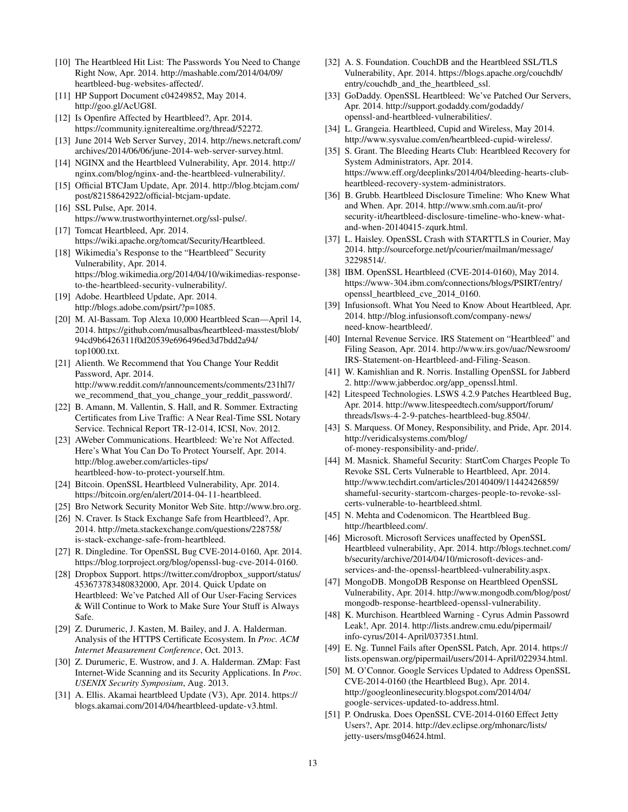- <span id="page-12-23"></span>[10] The Heartbleed Hit List: The Passwords You Need to Change Right Now, Apr. 2014. [http://mashable.com/2014/04/09/](http://mashable.com/2014/04/09/heartbleed-bug-websites-affected/) [heartbleed-bug-websites-affected/.](http://mashable.com/2014/04/09/heartbleed-bug-websites-affected/)
- <span id="page-12-4"></span>[11] HP Support Document c04249852, May 2014. [http://goo.gl/AcUG8I.](http://goo.gl/AcUG8I)
- <span id="page-12-6"></span>[12] Is Openfire Affected by Heartbleed?, Apr. 2014. [https://community.igniterealtime.org/thread/52272.](https://community.igniterealtime.org/thread/52272)
- <span id="page-12-21"></span>[13] June 2014 Web Server Survey, 2014. [http://news.netcraft.com/](http://news.netcraft.com/archives/2014/06/06/june-2014-web-server-survey.html) [archives/2014/06/06/june-2014-web-server-survey.html.](http://news.netcraft.com/archives/2014/06/06/june-2014-web-server-survey.html)
- <span id="page-12-8"></span>[14] NGINX and the Heartbleed Vulnerability, Apr. 2014. [http://](http://nginx.com/blog/nginx-and-the-heartbleed-vulnerability/) [nginx.com/blog/nginx-and-the-heartbleed-vulnerability/.](http://nginx.com/blog/nginx-and-the-heartbleed-vulnerability/)
- <span id="page-12-36"></span>[15] Official BTCJam Update, Apr. 2014. [http://blog.btcjam.com/](http://blog.btcjam.com/post/82158642922/official-btcjam-update) [post/82158642922/official-btcjam-update.](http://blog.btcjam.com/post/82158642922/official-btcjam-update)
- <span id="page-12-33"></span>[16] SSL Pulse, Apr. 2014. [https://www.trustworthyinternet.org/ssl-pulse/.](https://www.trustworthyinternet.org/ssl-pulse/)
- <span id="page-12-12"></span>[17] Tomcat Heartbleed, Apr. 2014. [https://wiki.apache.org/tomcat/Security/Heartbleed.](https://wiki.apache.org/tomcat/Security/Heartbleed)
- <span id="page-12-25"></span>[18] Wikimedia's Response to the "Heartbleed" Security Vulnerability, Apr. 2014. [https://blog.wikimedia.org/2014/04/10/wikimedias-response](https://blog.wikimedia.org/2014/04/10/wikimedias-response-to-the-heartbleed-security-vulnerability/)[to-the-heartbleed-security-vulnerability/.](https://blog.wikimedia.org/2014/04/10/wikimedias-response-to-the-heartbleed-security-vulnerability/)
- [19] Adobe. Heartbleed Update, Apr. 2014. [http://blogs.adobe.com/psirt/?p=1085.](http://blogs.adobe.com/psirt/?p=1085)
- <span id="page-12-24"></span>[20] M. Al-Bassam. Top Alexa 10,000 Heartbleed Scan—April 14, 2014. [https://github.com/musalbas/heartbleed-masstest/blob/](https://github.com/musalbas/heartbleed-masstest/blob/94cd9b6426311f0d20539e696496ed3d7bdd2a94/top1000.txt) [94cd9b6426311f0d20539e696496ed3d7bdd2a94/](https://github.com/musalbas/heartbleed-masstest/blob/94cd9b6426311f0d20539e696496ed3d7bdd2a94/top1000.txt) [top1000.txt.](https://github.com/musalbas/heartbleed-masstest/blob/94cd9b6426311f0d20539e696496ed3d7bdd2a94/top1000.txt)
- <span id="page-12-26"></span>[21] Alienth. We Recommend that You Change Your Reddit Password, Apr. 2014. [http://www.reddit.com/r/announcements/comments/231hl7/](http://www.reddit.com/r/announcements/comments/231hl7/we_recommend_that_you_change_your_reddit_password/) [we\\_recommend\\_that\\_you\\_change\\_your\\_reddit\\_password/.](http://www.reddit.com/r/announcements/comments/231hl7/we_recommend_that_you_change_your_reddit_password/)
- <span id="page-12-34"></span>[22] B. Amann, M. Vallentin, S. Hall, and R. Sommer. Extracting Certificates from Live Traffic: A Near Real-Time SSL Notary Service. Technical Report TR-12-014, ICSI, Nov. 2012.
- <span id="page-12-27"></span>[23] AWeber Communications. Heartbleed: We're Not Affected. Here's What You Can Do To Protect Yourself, Apr. 2014. [http://blog.aweber.com/articles-tips/](http://blog.aweber.com/articles-tips/heartbleed-how-to-protect-yourself.htm) [heartbleed-how-to-protect-yourself.htm.](http://blog.aweber.com/articles-tips/heartbleed-how-to-protect-yourself.htm)
- <span id="page-12-20"></span>[24] Bitcoin. OpenSSL Heartbleed Vulnerability, Apr. 2014. [https://bitcoin.org/en/alert/2014-04-11-heartbleed.](https://bitcoin.org/en/alert/2014-04-11-heartbleed)
- <span id="page-12-39"></span>[25] Bro Network Security Monitor Web Site. [http://www.bro.org.](http://www.bro.org)
- <span id="page-12-28"></span>[26] N. Craver. Is Stack Exchange Safe from Heartbleed?, Apr. 2014. [http://meta.stackexchange.com/questions/228758/](http://meta.stackexchange.com/questions/228758/is-stack-exchange-safe-from-heartbleed) [is-stack-exchange-safe-from-heartbleed.](http://meta.stackexchange.com/questions/228758/is-stack-exchange-safe-from-heartbleed)
- <span id="page-12-35"></span>[27] R. Dingledine. Tor OpenSSL Bug CVE-2014-0160, Apr. 2014. [https://blog.torproject.org/blog/openssl-bug-cve-2014-0160.](https://blog.torproject.org/blog/openssl-bug-cve-2014-0160)
- <span id="page-12-29"></span>[28] Dropbox Support. [https://twitter.com/dropbox\\_support/status/](https://twitter.com/dropbox_support/status/453673783480832000) [453673783480832000,](https://twitter.com/dropbox_support/status/453673783480832000) Apr. 2014. Quick Update on Heartbleed: We've Patched All of Our User-Facing Services & Will Continue to Work to Make Sure Your Stuff is Always Safe.
- <span id="page-12-3"></span>[29] Z. Durumeric, J. Kasten, M. Bailey, and J. A. Halderman. Analysis of the HTTPS Certificate Ecosystem. In *Proc. ACM Internet Measurement Conference*, Oct. 2013.
- <span id="page-12-2"></span>[30] Z. Durumeric, E. Wustrow, and J. A. Halderman. ZMap: Fast Internet-Wide Scanning and its Security Applications. In *Proc. USENIX Security Symposium*, Aug. 2013.
- <span id="page-12-1"></span>[31] A. Ellis. Akamai heartbleed Update (V3), Apr. 2014. [https://](https://blogs.akamai.com/2014/04/heartbleed-update-v3.html) [blogs.akamai.com/2014/04/heartbleed-update-v3.html.](https://blogs.akamai.com/2014/04/heartbleed-update-v3.html)
- <span id="page-12-18"></span>[32] A. S. Foundation. CouchDB and the Heartbleed SSL/TLS Vulnerability, Apr. 2014. [https://blogs.apache.org/couchdb/](https://blogs.apache.org/couchdb/entry/couchdb_and_the_heartbleed_ssl) [entry/couchdb\\_and\\_the\\_heartbleed\\_ssl.](https://blogs.apache.org/couchdb/entry/couchdb_and_the_heartbleed_ssl)
- <span id="page-12-30"></span>[33] GoDaddy. OpenSSL Heartbleed: We've Patched Our Servers, Apr. 2014. [http://support.godaddy.com/godaddy/](http://support.godaddy.com/godaddy/openssl-and-heartbleed-vulnerabilities/) [openssl-and-heartbleed-vulnerabilities/.](http://support.godaddy.com/godaddy/openssl-and-heartbleed-vulnerabilities/)
- <span id="page-12-37"></span>[34] L. Grangeia. Heartbleed, Cupid and Wireless, May 2014. [http://www.sysvalue.com/en/heartbleed-cupid-wireless/.](http://www.sysvalue.com/en/heartbleed-cupid-wireless/)
- <span id="page-12-9"></span>[35] S. Grant. The Bleeding Hearts Club: Heartbleed Recovery for System Administrators, Apr. 2014. [https://www.eff.org/deeplinks/2014/04/bleeding-hearts-club](https://www.eff.org/deeplinks/2014/04/bleeding-hearts-club-heartbleed-recovery-system-administrators)[heartbleed-recovery-system-administrators.](https://www.eff.org/deeplinks/2014/04/bleeding-hearts-club-heartbleed-recovery-system-administrators)
- <span id="page-12-0"></span>[36] B. Grubb. Heartbleed Disclosure Timeline: Who Knew What and When. Apr. 2014. [http://www.smh.com.au/it-pro/](http://www.smh.com.au/it-pro/security-it/heartbleed-disclosure-timeline-who-knew-what-and-when-20140415-zqurk.html) [security-it/heartbleed-disclosure-timeline-who-knew-what](http://www.smh.com.au/it-pro/security-it/heartbleed-disclosure-timeline-who-knew-what-and-when-20140415-zqurk.html)[and-when-20140415-zqurk.html.](http://www.smh.com.au/it-pro/security-it/heartbleed-disclosure-timeline-who-knew-what-and-when-20140415-zqurk.html)
- <span id="page-12-13"></span>[37] L. Haisley. OpenSSL Crash with STARTTLS in Courier, May 2014. [http://sourceforge.net/p/courier/mailman/message/](http://sourceforge.net/p/courier/mailman/message/32298514/) [32298514/.](http://sourceforge.net/p/courier/mailman/message/32298514/)
- <span id="page-12-14"></span>[38] IBM. OpenSSL Heartbleed (CVE-2014-0160), May 2014. [https://www-304.ibm.com/connections/blogs/PSIRT/entry/](https://www-304.ibm.com/connections/blogs/PSIRT/entry/openssl_heartbleed_cve_2014_0160) [openssl\\_heartbleed\\_cve\\_2014\\_0160.](https://www-304.ibm.com/connections/blogs/PSIRT/entry/openssl_heartbleed_cve_2014_0160)
- <span id="page-12-31"></span>[39] Infusionsoft. What You Need to Know About Heartbleed, Apr. 2014. [http://blog.infusionsoft.com/company-news/](http://blog.infusionsoft.com/company-news/need-know-heartbleed/) [need-know-heartbleed/.](http://blog.infusionsoft.com/company-news/need-know-heartbleed/)
- <span id="page-12-32"></span>[40] Internal Revenue Service. IRS Statement on "Heartbleed" and Filing Season, Apr. 2014. [http://www.irs.gov/uac/Newsroom/](http://www.irs.gov/uac/Newsroom/IRS-Statement-on-Heartbleed-and-Filing-Season) [IRS-Statement-on-Heartbleed-and-Filing-Season.](http://www.irs.gov/uac/Newsroom/IRS-Statement-on-Heartbleed-and-Filing-Season)
- <span id="page-12-10"></span>[41] W. Kamishlian and R. Norris. Installing OpenSSL for Jabberd 2. [http://www.jabberdoc.org/app\\_openssl.html.](http://www.jabberdoc.org/app_openssl.html)
- <span id="page-12-17"></span>[42] Litespeed Technologies. LSWS 4.2.9 Patches Heartbleed Bug, Apr. 2014. [http://www.litespeedtech.com/support/forum/](http://www.litespeedtech.com/support/forum/threads/lsws-4-2-9-patches-heartbleed-bug.8504/) [threads/lsws-4-2-9-patches-heartbleed-bug.8504/.](http://www.litespeedtech.com/support/forum/threads/lsws-4-2-9-patches-heartbleed-bug.8504/)
- <span id="page-12-40"></span>[43] S. Marquess. Of Money, Responsibility, and Pride, Apr. 2014. [http://veridicalsystems.com/blog/](http://veridicalsystems.com/blog/of-money-responsibility-and-pride/) [of-money-responsibility-and-pride/.](http://veridicalsystems.com/blog/of-money-responsibility-and-pride/)
- <span id="page-12-38"></span>[44] M. Masnick. Shameful Security: StartCom Charges People To Revoke SSL Certs Vulnerable to Heartbleed, Apr. 2014. [http://www.techdirt.com/articles/20140409/11442426859/](http://www.techdirt.com/articles/20140409/11442426859/shameful-security-startcom-charges-people-to-revoke-ssl-certs-vulnerable-to-heartbleed.shtml) [shameful-security-startcom-charges-people-to-revoke-ssl](http://www.techdirt.com/articles/20140409/11442426859/shameful-security-startcom-charges-people-to-revoke-ssl-certs-vulnerable-to-heartbleed.shtml)[certs-vulnerable-to-heartbleed.shtml.](http://www.techdirt.com/articles/20140409/11442426859/shameful-security-startcom-charges-people-to-revoke-ssl-certs-vulnerable-to-heartbleed.shtml)
- <span id="page-12-5"></span>[45] N. Mehta and Codenomicon. The Heartbleed Bug. [http://heartbleed.com/.](http://heartbleed.com/)
- <span id="page-12-7"></span>[46] Microsoft. Microsoft Services unaffected by OpenSSL Heartbleed vulnerability, Apr. 2014. [http://blogs.technet.com/](http://blogs.technet.com/b/security/archive/2014/04/10/microsoft-devices-and-services-and-the-openssl-heartbleed-vulnerability.aspx) [b/security/archive/2014/04/10/microsoft-devices-and](http://blogs.technet.com/b/security/archive/2014/04/10/microsoft-devices-and-services-and-the-openssl-heartbleed-vulnerability.aspx)[services-and-the-openssl-heartbleed-vulnerability.aspx.](http://blogs.technet.com/b/security/archive/2014/04/10/microsoft-devices-and-services-and-the-openssl-heartbleed-vulnerability.aspx)
- <span id="page-12-16"></span>[47] MongoDB. MongoDB Response on Heartbleed OpenSSL Vulnerability, Apr. 2014. [http://www.mongodb.com/blog/post/](http://www.mongodb.com/blog/post/mongodb-response-heartbleed-openssl-vulnerability) [mongodb-response-heartbleed-openssl-vulnerability.](http://www.mongodb.com/blog/post/mongodb-response-heartbleed-openssl-vulnerability)
- <span id="page-12-19"></span>[48] K. Murchison. Heartbleed Warning - Cyrus Admin Passowrd Leak!, Apr. 2014. [http://lists.andrew.cmu.edu/pipermail/](http://lists.andrew.cmu.edu/pipermail/info-cyrus/2014-April/037351.html) [info-cyrus/2014-April/037351.html.](http://lists.andrew.cmu.edu/pipermail/info-cyrus/2014-April/037351.html)
- <span id="page-12-11"></span>[49] E. Ng. Tunnel Fails after OpenSSL Patch, Apr. 2014. [https://](https://lists.openswan.org/pipermail/users/2014-April/022934.html) [lists.openswan.org/pipermail/users/2014-April/022934.html.](https://lists.openswan.org/pipermail/users/2014-April/022934.html)
- <span id="page-12-15"></span>[50] M. O'Connor. Google Services Updated to Address OpenSSL CVE-2014-0160 (the Heartbleed Bug), Apr. 2014. [http://googleonlinesecurity.blogspot.com/2014/04/](http://googleonlinesecurity.blogspot.com/2014/04/google-services-updated-to-address.html) [google-services-updated-to-address.html.](http://googleonlinesecurity.blogspot.com/2014/04/google-services-updated-to-address.html)
- <span id="page-12-22"></span>[51] P. Ondruska. Does OpenSSL CVE-2014-0160 Effect Jetty Users?, Apr. 2014. [http://dev.eclipse.org/mhonarc/lists/](http://dev.eclipse.org/mhonarc/lists/jetty-users/msg04624.html) [jetty-users/msg04624.html.](http://dev.eclipse.org/mhonarc/lists/jetty-users/msg04624.html)